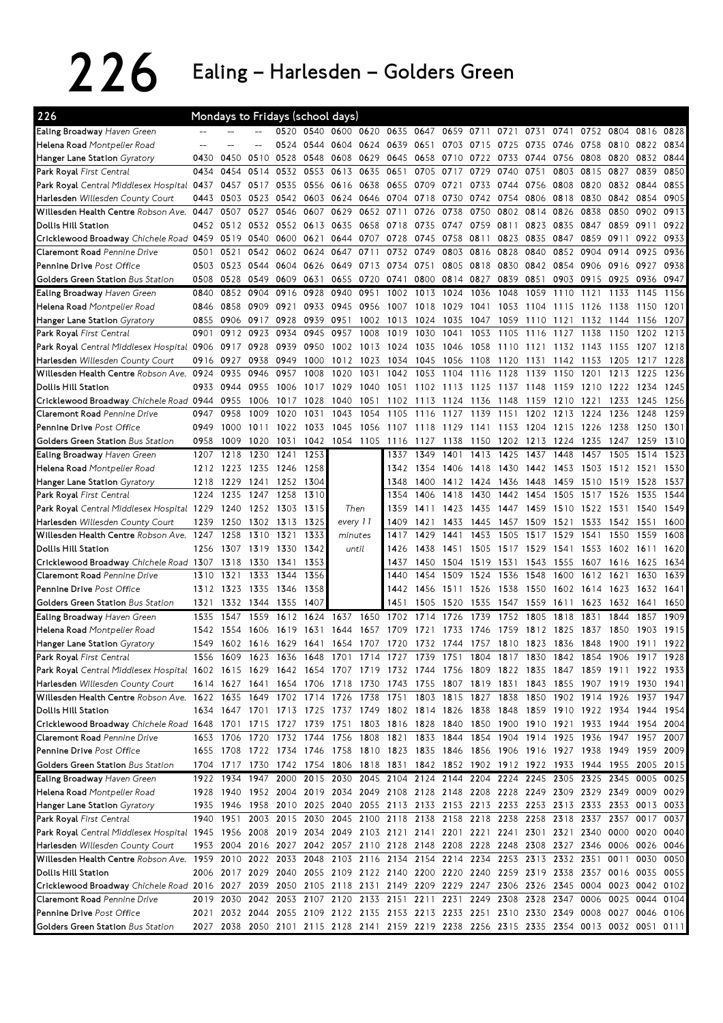## 226 Ealing – Harlesden – Golders Green

| 226                                                                                                                             |      |              |                | Mondays to Fridays (school days) |           |                     |                     |              |              |                                                                                           |           |              |           |              |              |              |              |      |
|---------------------------------------------------------------------------------------------------------------------------------|------|--------------|----------------|----------------------------------|-----------|---------------------|---------------------|--------------|--------------|-------------------------------------------------------------------------------------------|-----------|--------------|-----------|--------------|--------------|--------------|--------------|------|
| Ealing Broadway Haven Green                                                                                                     |      |              |                | 0520                             | 0540      |                     | 0600 0620 0635 0647 |              |              |                                                                                           | 0659 0711 | 0721         | 0731      | 0741         | 0752         | 0804         | 0816         | 0828 |
| Helena Road Montpelier Road                                                                                                     |      |              |                | 0524                             |           | 0544 0604           | 0624                | 0639         | 0651         | 0703                                                                                      | 0715      | 0725         | 0735      | 0746         | 0758         | 0810         | 0822         | 0834 |
| Hanger Lane Station Gyratory                                                                                                    | 0430 | 0450         | 0510           | 0528                             | 0548      | 0608                | 0629                | 0645         | 0658         | 0710                                                                                      | 0722      | 0733         | 0744      | 0756         | 0808         | 0820         | 0832         | 0844 |
| Park Royal First Central                                                                                                        | 0434 | 0454         | 0514           | 0532                             | 0553      | 0613                | 0635                | 0651         | 0705         | 0717                                                                                      | 0729      | 0740         | 0751      | 0803         | 0815         | 0827         | 0839         | 0850 |
| Park Royal Central Middlesex Hospital 0437                                                                                      |      | 0457         | 0517           | 0535                             | 0556      | 0616                | 0638                | 0655         | 0709         | 0721                                                                                      | 0733      | 0744         | 0756      | 0808         | 0820         | 0832 0844    |              | 0855 |
| Harlesden Willesden County Court                                                                                                | 0443 | 0503         | 0523           | 0542                             |           | 0603 0624           | 0646                | 0704 0718    |              | 0730                                                                                      | 0742      | 0754         | 0806      | 0818         | 0830         | 0842         | 0854         | 0905 |
| Willesden Health Centre Robson Ave.                                                                                             | 0447 | 0507         | 0527           | 0546                             | 0607      | 0629                | 0652                | 0711         | 0726         | 0738                                                                                      | 0750      | 0802         | 0814      | 0826         | 0838         | 0850         | 0902         | 0913 |
| Dollis Hill Station                                                                                                             | 0452 | 0512         | 0532           | 0552                             | 0613      | 0635                | 0658                | 0718         | 0735         | 0747                                                                                      | 0759      | 0811         | 0823      | 0835         | 0847         | 0859         | 0911         | 0922 |
| Cricklewood Broadway Chichele Road 0459                                                                                         |      | 0519         | 0540           | 0600                             | 0621      | 0644                | 0707                | 0728         | 0745         | 0758                                                                                      | 0811      | 0823         | 0835      | 0847         | 0859         | 0911         | 0922         | 0933 |
| Claremont Road Pennine Drive                                                                                                    | 0501 | 0521         | 0542           | 0602                             | 0624      | 0647                | 0711                | 0732         | 0749         | 0803                                                                                      | 0816      | 0828         | 0840      | 0852         | 0904         | 0914         | 0925         | 0936 |
| Pennine Drive Post Office                                                                                                       | 0503 | 0523         | 0544           | 0604                             | 0626      | 0649                | 0713                | 0734         | 0751         | 0805                                                                                      | 0818      | 0830         | 0842      | 0854         | 0906         | 0916         | 0927         | 0938 |
| Golders Green Station Bus Station                                                                                               | 0508 | 0528         | 0549           | 0609                             | 0631      | 0655                | 0720                | 0741         | 0800         | 0814 0827                                                                                 |           | 0839         | 0851      |              | 0903 0915    | 0925         | 0936         | 0947 |
| Ealing Broadway Haven Green                                                                                                     | 0840 | 0852         | 0904           | 0916                             | 0928      | 0940                | 0951                | 1002         | 1013         | 1024                                                                                      | 1036      | 1048         | 1059      | 1110         | 1121         | 1133         | 1145         | 1156 |
| Helena Road Montpelier Road                                                                                                     | 0846 | 0858         | 0909           | 0921                             | 0933      | 0945                | 0956                | 1007         | 1018         | 1029                                                                                      | 1041      | 1053         | 1104      | 1115         | 1126         | 1138         | 1150         | 1201 |
| Hanger Lane Station Gyratory                                                                                                    | 0855 | 0906         | 0917           | 0928                             | 0939      | 0951                | 1002                | 1013         | 1024         | 1035                                                                                      | 1047      | 1059         | 1110      | 1121         | 1132         | 1144         | 1156         | 1207 |
| Park Royal First Central                                                                                                        | 0901 | 0912         | 0923           | 0934                             | 0945      | 0957                | 1008                | 1019         | 1030         | 1041                                                                                      | 1053      | 1105         | 1116      | 1127         | 1138         | 1150         | 1202         | 1213 |
| Park Royal Central Middlesex Hospital 0906                                                                                      |      | 0917         | 0928           | 0939                             | 0950      | 1002                | 1013                | 1024         | 1035         | 1046                                                                                      | 1058      | 1110         | 1121      | 1132         | 1143         | 1155         | 1207         | 1218 |
| Harlesden Willesden County Court                                                                                                | 0916 | 0927         | 0938           | 0949                             | 1000      | 1012                | 1023                | 1034         | 1045         | 1056                                                                                      | 1108      | 1120         | 1131      | 1142         | 1153         | 1205         | 1217         | 1228 |
| Willesden Health Centre Robson Ave.                                                                                             | 0924 | 0935         | 0946           | 0957                             | 1008      | 1020                | 1031                | 1042         | 1053         | 1104                                                                                      | 1116      | 1128         | 1139      | 1150         | 1201         | 1213         | 1225         | 1236 |
| Dollis Hill Station                                                                                                             | 0933 | 0944         | 0955           | 1006                             | 1017      | 1029                | 1040                | 1051         | 1102         | 1113                                                                                      | 1125      | 1137         | 1148      | 1159         | 1210         | 1222 1234    |              | 1245 |
| Cricklewood Broadway Chichele Road 0944                                                                                         |      | 0955         | 1006           | 1017                             | 1028      | 1040                | 1051                | 1102         | 1113         | 1124                                                                                      | 1136      | 1148         | 1159      | 1210         | 1221         | 1233         | 1245         | 1256 |
| Claremont Road Pennine Drive                                                                                                    | 0947 | 0958         | 1009           | 1020                             | 1031      | 1043                | 1054                | 1105         | 1116         | 1127                                                                                      | 1139      | 1151         | 1202      | 1213         | 1224         | 1236         | 1248         | 1259 |
| Pennine Drive Post Office                                                                                                       | 0949 | 1000         | 1011           | 1022                             | 1033      | 1045                | 1056                | 1107         | 1118         | 1129                                                                                      | 1141      | 1153         | 1204      | 1215         | 1226         | 1238         | 1250         | 1301 |
| Golders Green Station Bus Station                                                                                               | 0958 | 1009         | 1020           | 1031                             | 1042      | 1054 1105           |                     | 1116         | 1127         | 1138                                                                                      | 1150      | 1202         | 1213      | 1224         | 1235         | 1247         | 1259         | 1310 |
| Ealing Broadway Haven Green                                                                                                     | 1207 | 1218         | 1230           | 1241                             | 1253      |                     |                     | 1337         | 1349         | 1401                                                                                      | 1413      | 1425         | 1437      | 1448         | 1457         | 1505         | 1514         | 1523 |
| Helena Road Montpelier Road                                                                                                     | 1212 | 1223         | 1235 1246      |                                  | 1258      |                     |                     | 1342         | 1354         | 1406                                                                                      | 1418      | 1430         | 1442 1453 |              | 1503         | 1512 1521    |              | 1530 |
| Hanger Lane Station Gyratory                                                                                                    | 1218 | 1229         | 1241           | 1252                             | 1304      |                     |                     | 1348         | 1400         |                                                                                           | 1412 1424 | 1436         | 1448      | 1459         | 1510         | 1519         | 1528         | 1537 |
|                                                                                                                                 | 1224 | 1235         | 1247           |                                  | 1310      |                     |                     | 1354         | 1406         | 1418                                                                                      | 1430      |              | 1454      | 1505         | 1517         | 1526         | 1535         | 1544 |
| Park Royal First Central                                                                                                        |      |              |                | 1258                             | 1315      | Then                |                     | 1359         | 1411         | 1423                                                                                      | 1435      | 1442<br>1447 | 1459      | 1510         |              | 1531         |              | 1549 |
| Park Royal Central Middlesex Hospital 1229                                                                                      | 1239 | 1240<br>1250 | 1252<br>1302   | 1303                             | 1325      |                     |                     | 1409         | 1421         | 1433                                                                                      | 1445      | 1457         | 1509      | 1521         | 1522<br>1533 |              | 1540         | 1600 |
| Harlesden Willesden County Court<br>Willesden Health Centre Robson Ave. 1247                                                    |      | 1258         | 1310           | 1313<br>1321                     | 1333      | every 11<br>minutes |                     | 1417         | 1429         | 1441                                                                                      | 1453      |              | 1517      | 1529         | 1541         | 1542<br>1550 | 1551<br>1559 | 1608 |
| Dollis Hill Station                                                                                                             | 1256 | 1307         | 1319           | 1330                             | 1342      | until               |                     | 1426         | 1438         | 1451                                                                                      | 1505      | 1505<br>1517 | 1529      | 1541         | 1553         | 1602 1611    |              | 1620 |
|                                                                                                                                 |      | 1318         |                |                                  |           |                     |                     |              |              |                                                                                           | 1519      |              |           |              |              |              |              | 1634 |
| Cricklewood Broadway Chichele Road 1307                                                                                         |      |              | 1330           | 1341                             | 1353      |                     |                     | 1437<br>1440 | 1450<br>1454 | 1504<br>1509                                                                              | 1524      | 1531         | 1543      | 1555<br>1600 | 1607         | 1616         | 1625         | 1639 |
| Claremont Road Pennine Drive                                                                                                    | 1310 | 1321         | 1333           | 1344                             | 1356      |                     |                     |              |              |                                                                                           |           | 1536         | 1548      |              | 1612         | 1621         | 1630         |      |
| Pennine Drive Post Office                                                                                                       | 1312 | 1323         | 1335           | 1346                             | 1358      |                     |                     | 1442         | 1456         | 1511                                                                                      | 1526      | 1538         | 1550      | 1602         | 1614         | 1623         | 1632         | 1641 |
| Golders Green Station Bus Station<br>Ealing Broadway Haven Green                                                                | 1321 | 1332         | 1344           | 1355                             | 1407      |                     |                     | 1451         | 1505         | 1520                                                                                      | 1535      | 1547         | 1559      | 1611         | 1623         | 1632         | 1641         | 1650 |
|                                                                                                                                 | 1535 | 1547         | 1559           | 1612                             | 1624      | 1637                | 1650                | 1702         | 1714         | 1726                                                                                      | 1739      | 1752         | 1805      | 1818         | 1831         | 1844         | 1857         | 1909 |
| Helena Road Montpelier Road                                                                                                     | 1542 | 1554         | 1606           | 1619                             | 1631      | 1644                | 1657                | 1709         | 17           | 1733                                                                                      | 1746      | 1759         | 1812      | 1825         | 1837         | 1850         | 1903         | 1915 |
| Hanger Lane Station Gyratory                                                                                                    | 1549 |              | 1602 1616 1629 |                                  | 1641 1654 |                     | 1707                | 1720         |              | 1732 1744 1757 1810                                                                       |           |              | 1823 1836 |              | 1848         | 1900         | 1911         | 1922 |
| Park Royal First Central                                                                                                        |      |              |                |                                  |           |                     |                     |              |              | 1556 1609 1623 1636 1648 1701 1714 1727 1739 1751 1804 1817 1830 1842 1854 1906 1917 1928 |           |              |           |              |              |              |              |      |
| Park Royal Central Middlesex Hospital 1602 1615 1629 1642 1654 1707 1719 1732 1744 1756 1809 1822 1835 1847 1859 1911 1922 1933 |      |              |                |                                  |           |                     |                     |              |              |                                                                                           |           |              |           |              |              |              |              |      |
| Harlesden Willesden County Court                                                                                                |      |              |                |                                  |           |                     |                     |              |              | 1614 1627 1641 1654 1706 1718 1730 1743 1755 1807 1819 1831 1843 1855 1907 1919 1930 1941 |           |              |           |              |              |              |              |      |
| Willesden Health Centre Robson Ave. 1622 1635 1649 1702 1714 1726 1738 1751 1803 1815 1827 1838 1850 1902 1914 1926 1937        |      |              |                |                                  |           |                     |                     |              |              |                                                                                           |           |              |           |              |              |              |              | 1947 |
| Dollis Hill Station                                                                                                             |      |              |                |                                  |           |                     |                     |              |              | 1634 1647 1701 1713 1725 1737 1749 1802 1814 1826 1838 1848 1859 1910 1922 1934 1944 1954 |           |              |           |              |              |              |              |      |
| Cricklewood Broadway Chichele Road 1648 1701 1715 1727 1739 1751 1803 1816 1828 1840 1850 1900 1910 1921 1933 1944 1954 2004    |      |              |                |                                  |           |                     |                     |              |              |                                                                                           |           |              |           |              |              |              |              |      |
| Claremont Road Pennine Drive                                                                                                    |      |              |                |                                  |           |                     |                     |              |              | 1653 1706 1720 1732 1744 1756 1808 1821 1833 1844 1854 1904 1914 1925 1936 1947 1957 2007 |           |              |           |              |              |              |              |      |
| Pennine Drive Post Office                                                                                                       |      |              |                |                                  |           |                     |                     |              |              | 1655 1708 1722 1734 1746 1758 1810 1823 1835 1846 1856 1906 1916 1927 1938 1949 1959 2009 |           |              |           |              |              |              |              |      |
| Golders Green Station Bus Station                                                                                               |      |              |                |                                  |           |                     |                     |              |              | 1704 1717 1730 1742 1754 1806 1818 1831 1842 1852 1902 1912 1922 1933 1944 1955 2005 2015 |           |              |           |              |              |              |              |      |
| Ealing Broadway Haven Green                                                                                                     |      |              |                |                                  |           |                     |                     |              |              | 1922 1934 1947 2000 2015 2030 2045 2104 2124 2144 2204 2224 2245 2305 2325 2345 0005 0025 |           |              |           |              |              |              |              |      |
| Helena Road Montpelier Road                                                                                                     |      |              |                |                                  |           |                     |                     |              |              | 1928 1940 1952 2004 2019 2034 2049 2108 2128 2148 2208 2228 2249 2309 2329 2349 0009 0029 |           |              |           |              |              |              |              |      |
| Hanger Lane Station Gyratory                                                                                                    |      | 1935 1946    |                |                                  |           |                     |                     |              |              | 1958 2010 2025 2040 2055 2113 2133 2153 2213 2233 2253 2313 2333 2353 0013 0033           |           |              |           |              |              |              |              |      |
| Park Royal First Central                                                                                                        | 1940 | 1951         |                |                                  |           |                     |                     |              |              | 2003 2015 2030 2045 2100 2118 2138 2158 2218 2238 2258 2318 2337                          |           |              |           |              |              | 2357         | 0017         | 0037 |
| Park Royal Central Middlesex Hospital 1945 1956 2008 2019 2034 2049 2103 2121 2141 2201 2221 2241 2301 2321 2340 0000 0020 0040 |      |              |                |                                  |           |                     |                     |              |              |                                                                                           |           |              |           |              |              |              |              |      |
| Harlesden Willesden County Court                                                                                                |      |              |                |                                  |           |                     |                     |              |              | 1953 2004 2016 2027 2042 2057 2110 2128 2148 2208 2228 2248 2308 2327 2346 0006 0026 0046 |           |              |           |              |              |              |              |      |
| Willesden Health Centre Robson Ave. 1959 2010 2022 2033 2048 2103 2116 2134 2154 2214 2234 2253 2313 2332 2351 0011             |      |              |                |                                  |           |                     |                     |              |              |                                                                                           |           |              |           |              |              |              | 0030 0050    |      |
| Dollis Hill Station                                                                                                             |      |              |                |                                  |           |                     |                     |              |              | 2006 2017 2029 2040 2055 2109 2122 2140 2200 2220 2240 2259 2319 2338 2357 0016 0035 0055 |           |              |           |              |              |              |              |      |
| Cricklewood Broadway Chichele Road 2016 2027 2039 2050 2105 2118 2131 2149 2209 2229 2247 2306 2326 2345 0004 0023 0042 0102    |      |              |                |                                  |           |                     |                     |              |              |                                                                                           |           |              |           |              |              |              |              |      |
|                                                                                                                                 |      |              |                |                                  |           |                     |                     |              |              |                                                                                           |           |              |           |              |              |              |              |      |
| Claremont Road Pennine Drive                                                                                                    |      | 2019 2030    |                |                                  |           |                     |                     |              |              | 2042 2053 2107 2120 2133 2151 2211 2231 2249 2308 2328 2347 0006 0025 0044 0104           |           |              |           |              |              |              |              |      |
| Pennine Drive Post Office                                                                                                       |      |              |                |                                  |           |                     |                     |              |              | 2021 2032 2044 2055 2109 2122 2135 2153 2213 2233 2251 2310 2330 2349 0008 0027 0046 0106 |           |              |           |              |              |              |              |      |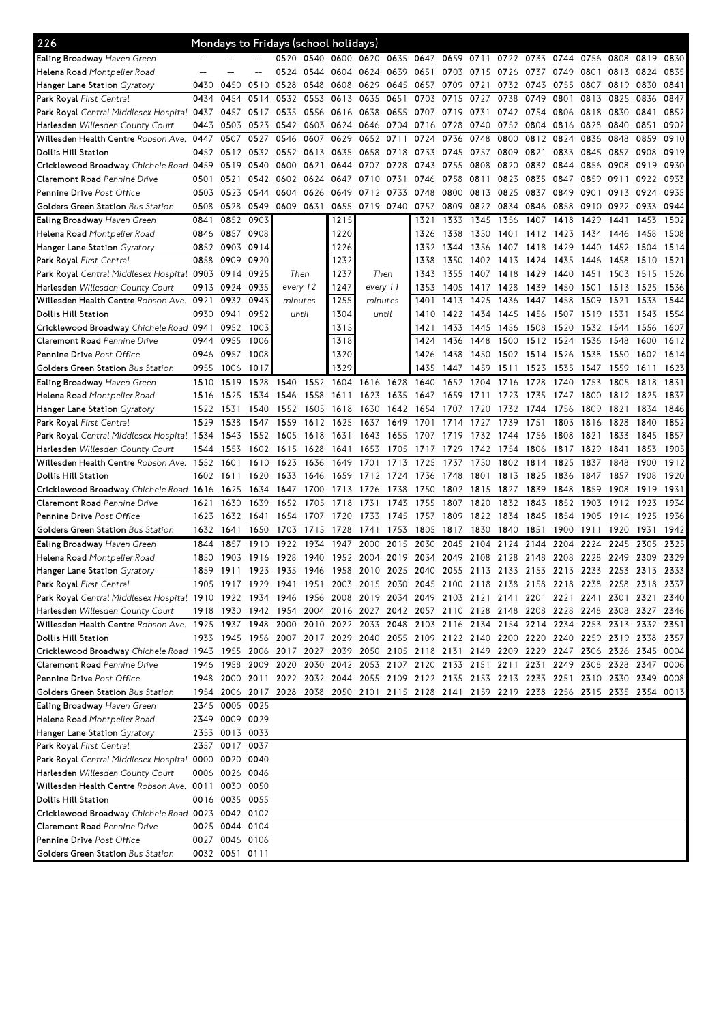| 226                                                                                                                             |           |                |                     |          |      | Mondays to Fridays (school holidays) |                |           |      |      |      |      |      |      |                                                                                           |           |      |      |
|---------------------------------------------------------------------------------------------------------------------------------|-----------|----------------|---------------------|----------|------|--------------------------------------|----------------|-----------|------|------|------|------|------|------|-------------------------------------------------------------------------------------------|-----------|------|------|
| <b>Ealing Broadway</b> Haven Green                                                                                              |           |                |                     | 0520     | 0540 | 0600                                 | 0620           | 0635 0647 |      | 0659 | 0711 | 0722 | 0733 | 0744 | 0756                                                                                      | 0808      | 0819 | 0830 |
| Helena Road Montpelier Road                                                                                                     | $-$       |                |                     | 0524     | 0544 | 0604 0624                            |                | 0639      | 0651 | 0703 | 0715 | 0726 | 0737 | 0749 | 0801                                                                                      | 0813      | 0824 | 0835 |
| Hanger Lane Station <i>Gyratory</i>                                                                                             | 0430      | 0450           | 0510                | 0528     | 0548 | 0608                                 | 0629           | 0645      | 0657 | 0709 | 0721 | 0732 | 0743 | 0755 | 0807                                                                                      | 0819      | 0830 | 0841 |
| <b>Park Royal</b> First Central                                                                                                 | 0434      | 0454           | 0514                | 0532     | 0553 | 0613                                 | 0635           | 0651      | 0703 | 0715 | 0727 | 0738 | 0749 | 0801 | 0813                                                                                      | 0825      | 0836 | 0847 |
| Park Royal Central Middlesex Hospital 0437                                                                                      |           | 0457           | 0517 0535           |          | 0556 | 0616 0638                            |                | 0655      | 0707 | 0719 | 0731 | 0742 | 0754 | 0806 | 0818                                                                                      | 0830      | 0841 | 0852 |
| <b>Harlesden</b> Willesden County Court                                                                                         | 0443      | 0503           | 0523 0542           |          | 0603 | 0624                                 | 0646           | 0704      | 0716 | 0728 | 0740 | 0752 | 0804 | 0816 | 0828                                                                                      | 0840      | 0851 | 0902 |
| Willesden Health Centre Robson Ave.                                                                                             | 0447      | 0507           | 0527                | 0546     | 0607 | 0629                                 | 0652           | 0711      | 0724 | 0736 | 0748 | 0800 | 0812 | 0824 | 0836                                                                                      | 0848      | 0859 | 0910 |
| Dollis Hill Station                                                                                                             | 0452      | 0512           | 0532 0552           |          | 0613 | 0635                                 | 0658           | 0718      | 0733 | 0745 | 0757 | 0809 | 0821 | 0833 | 0845                                                                                      | 0857      | 0908 | 0919 |
| Cricklewood Broadway Chichele Road 0459                                                                                         |           | 0519           | 0540                | 0600     | 0621 | 0644                                 | 0707           | 0728      | 0743 | 0755 | 0808 | 0820 | 0832 | 0844 | 0856                                                                                      | 0908      | 0919 | 0930 |
| <b>Claremont Road</b> Pennine Drive                                                                                             | 0501      | 0521           | 0542                | 0602     | 0624 | 0647                                 | 0710           | 0731      | 0746 | 0758 | 0811 | 0823 | 0835 | 0847 | 0859                                                                                      | 0911      | 0922 | 0933 |
| <b>Pennine Drive</b> Post Office                                                                                                |           |                |                     |          |      | 0649                                 | 0712           |           | 0748 | 0800 | 0813 | 0825 |      | 0849 | 0901                                                                                      |           |      | 0935 |
|                                                                                                                                 | 0503      | 0523           | 0544                | 0604     | 0626 |                                      |                | 0733      |      |      |      |      | 0837 |      |                                                                                           | 0913      | 0924 |      |
| <b>Golders Green Station</b> Bus Station                                                                                        | 0508      | 0528           | 0549                | 0609     | 0631 |                                      | 0655 0719 0740 |           | 0757 | 0809 | 0822 | 0834 | 0846 | 0858 | 0910                                                                                      | 0922      | 0933 | 0944 |
| <b>Ealing Broadway</b> Haven Green                                                                                              | 0841      | 0852           | 0903                |          |      | 1215                                 |                |           | 1321 | 1333 | 1345 | 1356 | 1407 | 1418 | 1429                                                                                      | 1441      | 1453 | 1502 |
| <b>Helena Road</b> Montpelier Road                                                                                              | 0846      | 0857           | 0908                |          |      | 1220                                 |                |           | 1326 | 1338 | 1350 | 1401 | 1412 | 1423 | 1434                                                                                      | 1446      | 1458 | 1508 |
| <b>Hanger Lane Station</b> Gyratory                                                                                             | 0852      | 0903           | 0914                |          |      | 1226                                 |                |           | 1332 | 1344 | 1356 | 1407 | 1418 | 1429 | 1440                                                                                      | 1452      | 1504 | 1514 |
| Park Royal First Central                                                                                                        | 0858      | 0909           | 0920                |          |      | 1232                                 |                |           | 1338 | 1350 | 1402 | 1413 | 1424 | 1435 | 1446                                                                                      | 1458      | 1510 | 1521 |
| Park Royal Central Middlesex Hospital 0903                                                                                      |           | 0914           | 0925                | Then     |      | 1237                                 |                | Then      | 1343 | 1355 | 1407 | 1418 | 1429 | 1440 | 1451                                                                                      | 1503      | 1515 | 1526 |
| <b>Harlesden</b> Willesden County Court                                                                                         | 0913      | 0924           | 0935                | every 12 |      | 1247                                 | every 11       |           | 1353 | 1405 | 1417 | 1428 | 1439 | 1450 | 1501                                                                                      | 1513      | 1525 | 1536 |
| Willesden Health Centre Robson Ave.                                                                                             | 0921      | 0932           | 0943                | minutes  |      | 1255                                 | minutes        |           | 1401 | 1413 | 1425 | 1436 | 1447 | 1458 | 1509                                                                                      | 1521      | 1533 | 1544 |
| Dollis Hill Station                                                                                                             | 0930      | 0941           | 0952                | until    |      | 1304                                 |                | until     | 1410 | 1422 | 1434 | 1445 | 1456 | 1507 | 1519                                                                                      | 1531      | 1543 | 1554 |
| Cricklewood Broadway Chichele Road 0941                                                                                         |           | 0952           | 1003                |          |      | 1315                                 |                |           | 1421 | 1433 | 1445 | 1456 | 1508 | 1520 | 1532                                                                                      | 1544      | 1556 | 1607 |
| Claremont Road Pennine Drive                                                                                                    | 0944      | 0955           | 1006                |          |      | 1318                                 |                |           | 1424 | 1436 | 1448 | 1500 | 1512 | 1524 | 1536                                                                                      | 1548      | 1600 | 1612 |
| Pennine Drive Post Office                                                                                                       | 0946      | 0957           | 1008                |          |      | 1320                                 |                |           | 1426 | 1438 | 1450 | 1502 | 1514 | 1526 | 1538                                                                                      | 1550      | 1602 | 1614 |
| Golders Green Station Bus Station                                                                                               | 0955      | 1006           | 1017                |          |      | 1329                                 |                |           | 1435 | 1447 | 1459 | 1511 | 1523 | 1535 | 1547                                                                                      | 1559      | 1611 | 1623 |
| Ealing Broadway Haven Green                                                                                                     | 1510      | 1519           | 1528                | 1540     |      | 1552 1604 1616                       |                | 1628      | 1640 | 1652 | 1704 | 1716 | 1728 | 1740 | 1753                                                                                      | 1805      | 1818 | 1831 |
| <b>Helena Road</b> Montpelier Road                                                                                              | 1516      | 1525           | 1534                | 1546     | 1558 | 1611                                 | 1623           | 1635      | 1647 | 1659 | 1711 | 1723 | 1735 | 1747 | 1800                                                                                      | 1812 1825 |      | 1837 |
| <b>Hanger Lane Station</b> Gyratory                                                                                             | 1522      | 1531           | 1540                | 1552     | 1605 | 1618                                 | 1630           | 1642      | 1654 | 1707 | 1720 | 1732 | 1744 | 1756 | 1809                                                                                      | 1821      | 1834 | 1846 |
| <b>Park Royal</b> First Central                                                                                                 | 1529      | 1538           | 1547                | 1559     | 1612 | 1625                                 | 1637           | 1649      | 1701 | 1714 | 1727 | 1739 | 1751 | 1803 | 1816                                                                                      | 1828      | 1840 | 1852 |
| <b>Park Royal</b> Central Middlesex Hospital 1534                                                                               |           | 1543           | 1552                | 1605     | 1618 | 1631                                 | 1643           | 1655      | 1707 | 1719 | 1732 | 1744 | 1756 | 1808 | 1821                                                                                      | 1833      | 1845 | 1857 |
| <b>Harlesden</b> Willesden County Court                                                                                         | 1544      | 1553           | 1602                | 1615     | 1628 | 1641                                 | 1653           | 1705      | 1717 | 1729 | 1742 | 1754 | 1806 | 1817 | 1829                                                                                      | 1841      | 1853 | 1905 |
| Willesden Health Centre Robson Ave.                                                                                             | 1552      | 1601           | 1610                | 1623     | 1636 | 1649                                 | 1701           | 1713      | 1725 | 1737 | 1750 | 1802 | 1814 | 1825 | 1837                                                                                      | 1848      | 1900 | 1912 |
| Dollis Hill Station                                                                                                             | 1602 1611 |                | 1620                | 1633     | 1646 | 1659                                 | 1712           | 1724      | 1736 | 1748 | 1801 | 1813 | 1825 | 1836 | 1847                                                                                      | 1857      | 1908 | 1920 |
|                                                                                                                                 |           |                |                     |          |      |                                      |                |           |      |      |      |      |      |      |                                                                                           |           |      |      |
| Cricklewood Broadway Chichele Road 1616                                                                                         |           | 1625           | 1634                | 1647     | 1700 | 1713                                 | 1726           | 1738      | 1750 | 1802 | 1815 | 1827 | 1839 | 1848 | 1859                                                                                      | 1908      | 1919 | 1931 |
| Claremont Road Pennine Drive                                                                                                    | 1621      | 1630           | 1639                | 1652     | 1705 | 1718                                 | 1731           | 1743      | 1755 | 1807 | 1820 | 1832 | 1843 | 1852 | 1903                                                                                      | 1912      | 1923 | 1934 |
| <b>Pennine Drive</b> Post Office                                                                                                | 1623      | 1632           | 1641                | 1654     | 1707 | 1720                                 | 1733           | 1745      | 1757 | 1809 | 1822 | 1834 | 1845 | 1854 | 1905                                                                                      | 1914      | 1925 | 1936 |
| <b>Golders Green Station</b> Bus Station                                                                                        | 1632      | 1641           | 1650                | 1703     | 1715 | 1728                                 | 1741           | 1753      | 1805 | 1817 | 1830 | 1840 | 1851 | 1900 | 1911                                                                                      | 1920      | 1931 | 1942 |
| Ealing Broadway Haven Green                                                                                                     | 1844      | 1857           | 1910                | 1922     | 1934 | 1947                                 | 2000           | 2015      | 2030 | 2045 | 2104 | 2124 | 2144 | 2204 | 2224                                                                                      | 2245      | 2305 | 2325 |
| <b>Helena Road</b> Montpelier Road                                                                                              | 1850      | 1903           | 1916                | 1928     | 1940 | 1952                                 | 2004           | 2019      | 2034 | 2049 | 2108 | 2128 | 2148 | 2208 | 2228                                                                                      | 2249      | 2309 | 2329 |
| Hanger Lane Station <i>Gyratory</i>                                                                                             | 1859      | 1911           | 1923 1935           |          |      |                                      |                |           |      |      |      |      |      |      | 1946 1958 2010 2025 2040 2055 2113 2133 2153 2213 2233 2253 2313 2333                     |           |      |      |
| Park Royal First Central                                                                                                        |           |                |                     |          |      |                                      |                |           |      |      |      |      |      |      | 1905 1917 1929 1941 1951 2003 2015 2030 2045 2100 2118 2138 2158 2218 2238 2258 2318 2337 |           |      |      |
| Park Royal Central Middlesex Hospital 1910 1922 1934 1946 1956 2008 2019 2034 2049 2103 2121 2141 2201 2221 2241 2301 2321 2340 |           |                |                     |          |      |                                      |                |           |      |      |      |      |      |      |                                                                                           |           |      |      |
| <b>Harlesden</b> Willesden County Court                                                                                         |           |                |                     |          |      |                                      |                |           |      |      |      |      |      |      | 1918 1930 1942 1954 2004 2016 2027 2042 2057 2110 2128 2148 2208 2228 2248 2308 2327 2346 |           |      |      |
| Willesden Health Centre Robson Ave. 1925 1937 1948 2000 2010 2022 2033 2048 2103 2116 2134 2154 2214 2234 2253 2313 2332 2351   |           |                |                     |          |      |                                      |                |           |      |      |      |      |      |      |                                                                                           |           |      |      |
| Dollis Hill Station                                                                                                             |           |                |                     |          |      |                                      |                |           |      |      |      |      |      |      | 1933 1945 1956 2007 2017 2029 2040 2055 2109 2122 2140 2200 2220 2240 2259 2319 2338 2357 |           |      |      |
| Cricklewood Broadway Chichele Road 1943 1955 2006 2017 2027 2039 2050 2105 2118 2131 2149 2209 2229 2247 2306 2326 2345 0004    |           |                |                     |          |      |                                      |                |           |      |      |      |      |      |      |                                                                                           |           |      |      |
| Claremont Road Pennine Drive                                                                                                    |           |                | 1946 1958 2009 2020 |          |      |                                      |                |           |      |      |      |      |      |      | 2030 2042 2053 2107 2120 2133 2151 2211 2231 2249 2308 2328 2347 0006                     |           |      |      |
| Pennine Drive Post Office                                                                                                       |           |                |                     |          |      |                                      |                |           |      |      |      |      |      |      | 1948 2000 2011 2022 2032 2044 2055 2109 2122 2135 2153 2213 2233 2251 2310 2330 2349 0008 |           |      |      |
| <b>Golders Green Station</b> Bus Station                                                                                        |           |                |                     |          |      |                                      |                |           |      |      |      |      |      |      | 1954 2006 2017 2028 2038 2050 2101 2115 2128 2141 2159 2219 2238 2256 2315 2335 2354 0013 |           |      |      |
| Ealing Broadway Haven Green                                                                                                     |           | 2345 0005 0025 |                     |          |      |                                      |                |           |      |      |      |      |      |      |                                                                                           |           |      |      |
| <b>Helena Road</b> Montpelier Road                                                                                              |           | 2349 0009 0029 |                     |          |      |                                      |                |           |      |      |      |      |      |      |                                                                                           |           |      |      |
| Hanger Lane Station Gyratory                                                                                                    |           | 2353 0013 0033 |                     |          |      |                                      |                |           |      |      |      |      |      |      |                                                                                           |           |      |      |
| <b>Park Royal</b> First Central                                                                                                 |           | 2357 0017 0037 |                     |          |      |                                      |                |           |      |      |      |      |      |      |                                                                                           |           |      |      |
| Park Royal Central Middlesex Hospital 0000 0020 0040                                                                            |           |                |                     |          |      |                                      |                |           |      |      |      |      |      |      |                                                                                           |           |      |      |
|                                                                                                                                 |           |                |                     |          |      |                                      |                |           |      |      |      |      |      |      |                                                                                           |           |      |      |
| <b>Harlesden</b> Willesden County Court                                                                                         |           | 0006 0026 0046 |                     |          |      |                                      |                |           |      |      |      |      |      |      |                                                                                           |           |      |      |
| Willesden Health Centre Robson Ave. 0011 0030 0050                                                                              |           |                |                     |          |      |                                      |                |           |      |      |      |      |      |      |                                                                                           |           |      |      |
| Dollis Hill Station                                                                                                             |           | 0016 0035 0055 |                     |          |      |                                      |                |           |      |      |      |      |      |      |                                                                                           |           |      |      |
| Cricklewood Broadway Chichele Road 0023 0042 0102                                                                               |           |                |                     |          |      |                                      |                |           |      |      |      |      |      |      |                                                                                           |           |      |      |
| Claremont Road Pennine Drive                                                                                                    |           | 0025 0044 0104 |                     |          |      |                                      |                |           |      |      |      |      |      |      |                                                                                           |           |      |      |
| <b>Pennine Drive</b> Post Office                                                                                                |           | 0027 0046 0106 |                     |          |      |                                      |                |           |      |      |      |      |      |      |                                                                                           |           |      |      |
| <b>Golders Green Station</b> Bus Station                                                                                        |           | 0032 0051 0111 |                     |          |      |                                      |                |           |      |      |      |      |      |      |                                                                                           |           |      |      |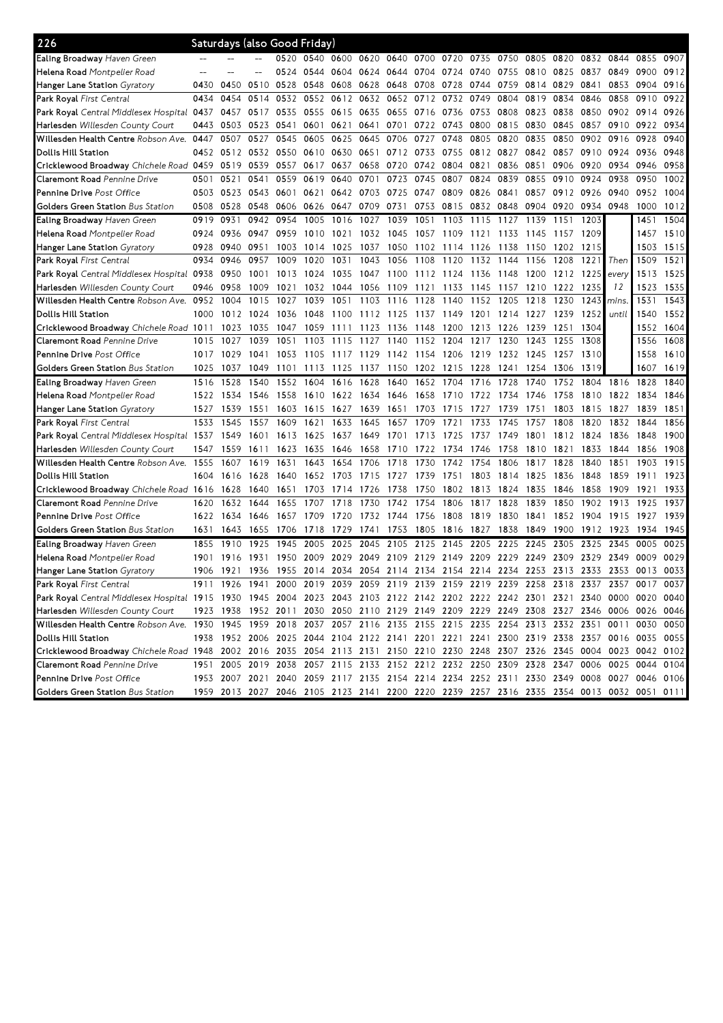| 226                                                                                                                             |      | Saturdays (also Good Friday) |           |      |      |                     |      |           |           |                |           |      |           |      |           |       |                                                                                                                                                                                        |      |
|---------------------------------------------------------------------------------------------------------------------------------|------|------------------------------|-----------|------|------|---------------------|------|-----------|-----------|----------------|-----------|------|-----------|------|-----------|-------|----------------------------------------------------------------------------------------------------------------------------------------------------------------------------------------|------|
| <b>Ealing Broadway</b> Haven Green                                                                                              |      |                              |           | 0520 |      | 0540 0600 0620 0640 |      |           |           | 0700 0720 0735 |           | 0750 | 0805      | 0820 | 0832 0844 |       | 0855                                                                                                                                                                                   | 0907 |
| Helena Road Montpelier Road                                                                                                     |      |                              |           | 0524 | 0544 | 0604 0624           |      | 0644      | 0704 0724 |                | 0740      | 0755 | 0810 0825 |      | 0837      | 0849  | 0900                                                                                                                                                                                   | 0912 |
| Hanger Lane Station <i>Gyratory</i>                                                                                             | 0430 | 0450                         | 0510      | 0528 | 0548 | 0608                | 0628 | 0648      | 0708      | 0728           | 0744      | 0759 | 0814      | 0829 | 0841      | 0853  | 0904                                                                                                                                                                                   | 0916 |
| <b>Park Royal</b> First Central                                                                                                 | 0434 | 0454                         | 0514      | 0532 | 0552 | 0612                | 0632 | 0652      | 0712      | 0732           | 0749      | 0804 | 0819      | 0834 | 0846      | 0858  | 0910                                                                                                                                                                                   | 0922 |
| <b>Park Royal</b> Central Middlesex Hospital 0 <b>4</b> 37                                                                      |      | 0457                         | 0517      | 0535 | 0555 | 0615                | 0635 | 0655      | 0716      | 0736           | 0753      | 0808 | 0823      | 0838 | 0850      | 0902  | 0914                                                                                                                                                                                   | 0926 |
| <b>Harlesden</b> Willesden County Court                                                                                         | 0443 | 0503                         | 0523 0541 |      | 0601 | 0621                | 0641 | 0701      | 0722      | 0743           | 0800      | 0815 | 0830      | 0845 | 0857      | 0910  | 0922                                                                                                                                                                                   | 0934 |
| Willesden Health Centre Robson Ave.                                                                                             | 0447 | 0507                         | 0527      | 0545 | 0605 | 0625                | 0645 | 0706      | 0727      | 0748           | 0805      | 0820 | 0835      | 0850 | 0902      | 0916  | 0928                                                                                                                                                                                   | 0940 |
| Dollis Hill Station                                                                                                             | 0452 | 0512                         | 0532      | 0550 | 0610 | 0630                | 0651 | 0712      | 0733      | 0755           | 0812      | 0827 | 0842      | 0857 | 0910      | 0924  | 0936                                                                                                                                                                                   | 0948 |
| Cricklewood Broadway Chichele Road 0459                                                                                         |      | 0519                         | 0539      | 0557 | 0617 | 0637                | 0658 | 0720      | 0742      | 0804           | 0821      | 0836 | 0851      | 0906 | 0920      | 0934  | 0946                                                                                                                                                                                   | 0958 |
| Claremont Road Pennine Drive                                                                                                    | 0501 | 0521                         | 0541      | 0559 | 0619 | 0640                | 0701 | 0723      | 0745      | 0807           | 0824      | 0839 | 0855      | 0910 | 0924      | 0938  | 0950                                                                                                                                                                                   | 1002 |
| <b>Pennine Drive</b> Post Office                                                                                                | 0503 | 0523                         | 0543 0601 |      | 0621 | 0642                | 0703 | 0725      | 0747      | 0809           | 0826      | 0841 | 0857      | 0912 | 0926      | 0940  | 0952                                                                                                                                                                                   | 1004 |
| <b>Golders Green Station</b> Bus Station                                                                                        | 0508 | 0528                         | 0548      | 0606 | 0626 | 0647                | 0709 | 0731      | 0753      | 0815           | 0832 0848 |      | 0904      | 0920 | 0934      | 0948  | 1000                                                                                                                                                                                   | 1012 |
| <b>Ealing Broadway</b> Haven Green                                                                                              | 0919 | 0931                         | 0942      | 0954 | 1005 | 1016                | 1027 | 1039      | 1051      | 1103           | 1115      | 1127 | 1139      | 1151 | 1203      |       | 1451                                                                                                                                                                                   | 1504 |
| <b>Helena Road</b> Montpelier Road                                                                                              | 0924 | 0936                         | 0947      | 0959 | 1010 | 1021                | 1032 | 1045      | 1057      | 1109           | 1121      | 1133 | 1145      | 1157 | 1209      |       | 1457                                                                                                                                                                                   | 1510 |
| <b>Hanger Lane Station</b> Gyratory                                                                                             | 0928 | 0940                         | 0951      | 1003 | 1014 | 1025                | 1037 | 1050      | 1102      | 1114           | 1126      | 1138 | 1150      | 1202 | 1215      |       | 1503                                                                                                                                                                                   | 1515 |
| <b>Park Royal</b> First Central                                                                                                 | 0934 | 0946                         | 0957      | 1009 | 1020 | 1031                | 1043 | 1056      | 1108      | 1120           | 1132      | 1144 | 1156      | 1208 | 1221      | Then  | 1509                                                                                                                                                                                   | 1521 |
| <b>Park Royal</b> Central Middlesex Hospital 0938                                                                               |      | 0950                         | 1001      | 1013 | 1024 | 1035                | 1047 | 1100      | 1112 1124 |                | 1136      | 1148 | 1200      | 1212 | 1225      | every | 1513                                                                                                                                                                                   | 1525 |
| Harlesden Willesden County Court                                                                                                | 0946 | 0958                         | 1009      | 1021 | 1032 | 1044                | 1056 | 1109      | 1121      | 1133           | 1145      | 1157 | 1210      | 1222 | 1235      | 12    | 1523                                                                                                                                                                                   | 1535 |
| Willesden Health Centre Robson Ave.                                                                                             | 0952 | 1004                         | 1015      | 1027 | 1039 | 1051                | 1103 | 1116      | 1128      | 1140           | 1152      | 1205 | 1218      | 1230 | 1243      | mins. | 1531                                                                                                                                                                                   | 1543 |
| Dollis Hill Station                                                                                                             | 1000 | 1012                         | 1024      | 1036 | 1048 | 1100                | 1112 | 1125      | 1137      | 1149           | 1201      | 1214 | 1227      | 1239 | 1252      | until | 1540                                                                                                                                                                                   | 1552 |
| Cricklewood Broadway Chichele Road 1011                                                                                         |      | 1023                         | 1035      | 1047 | 1059 | 1111                | 1123 | 1136      | 1148      | 1200           | 1213      | 1226 | 1239      | 1251 | 1304      |       | 1552                                                                                                                                                                                   | 1604 |
| Claremont Road Pennine Drive                                                                                                    | 1015 | 1027                         | 1039      | 1051 | 1103 | 1115                | 1127 | 1140      | 1152      | 1204           | 1217      | 1230 | 1243      | 1255 | 1308      |       | 1556                                                                                                                                                                                   | 1608 |
| <b>Pennine Drive</b> Post Office                                                                                                | 1017 | 1029                         | 1041      | 1053 | 1105 | 1117                | 1129 | 1142 1154 |           | 1206           | 1219      | 1232 | 1245      | 1257 | 1310      |       | 1558                                                                                                                                                                                   | 1610 |
| <b>Golders Green Station</b> Bus Station                                                                                        |      |                              |           |      |      |                     |      |           |           |                |           |      | 1254      | 1306 | 1319      |       | 1607                                                                                                                                                                                   | 1619 |
|                                                                                                                                 | 1025 | 1037                         | 1049      | 1101 | 1113 | 1125                | 1137 | 1150      | 1202      | 1215           | 1228      | 1241 |           |      |           |       |                                                                                                                                                                                        |      |
| Ealing Broadway Haven Green                                                                                                     | 1516 | 1528                         | 1540      | 1552 | 1604 | 1616                | 1628 | 1640      | 1652      | 1704           | 1716      | 1728 | 1740      | 1752 | 1804      | 1816  | 1828                                                                                                                                                                                   | 1840 |
| <b>Helena Road</b> Montpelier Road                                                                                              | 1522 | 1534                         | 1546      | 1558 | 1610 | 1622                | 1634 | 1646      | 1658      | 1710           | 1722      | 1734 | 1746      | 1758 | 1810      | 1822  | 1834                                                                                                                                                                                   | 1846 |
| <b>Hanger Lane Station</b> Gyratory                                                                                             | 1527 | 1539                         | 1551      | 1603 | 1615 | 1627                | 1639 | 1651      | 1703      | 1715           | 1727      | 1739 | 1751      | 1803 | 1815      | 1827  | 1839                                                                                                                                                                                   | 1851 |
| <b>Park Royal</b> First Central                                                                                                 | 1533 | 1545                         | 1557      | 1609 | 1621 | 1633                | 1645 | 1657      | 1709      | 1721           | 1733      | 1745 | 1757      | 1808 | 1820      | 1832  | 1844                                                                                                                                                                                   | 1856 |
| <b>Park Royal</b> Central Middlesex Hospital 1537                                                                               |      | 1549                         | 1601      | 1613 | 1625 | 1637                | 1649 | 1701      | 1713      | 1725           | 1737      | 1749 | 1801      | 1812 | 1824      | 1836  | 1848                                                                                                                                                                                   | 1900 |
| <b>Harlesden</b> Willesden County Court                                                                                         | 1547 | 1559                         | 1611      | 1623 | 1635 | 1646                | 1658 | 1710      | 1722      | 1734           | 1746      | 1758 | 1810      | 1821 | 1833      | 1844  | 1856                                                                                                                                                                                   | 1908 |
| Willesden Health Centre Robson Ave.                                                                                             | 1555 | 1607                         | 1619      | 1631 | 1643 | 1654                | 1706 | 1718      | 1730      | 1742           | 1754      | 1806 | 1817      | 1828 | 1840      | 1851  | 1903                                                                                                                                                                                   | 1915 |
| Dollis Hill Station                                                                                                             | 1604 | 1616                         | 1628      | 1640 | 1652 | 1703                | 1715 | 1727      | 1739      | 1751           | 1803      | 1814 | 1825      | 1836 | 1848      | 1859  | 1911                                                                                                                                                                                   | 1923 |
| Cricklewood Broadway Chichele Road 1616                                                                                         |      | 1628                         | 1640      | 1651 | 1703 | 1714                | 1726 | 1738      | 1750      | 1802           | 1813      | 1824 | 1835      | 1846 | 1858      | 1909  | 1921                                                                                                                                                                                   | 1933 |
| <b>Claremont Road</b> Pennine Drive                                                                                             | 1620 | 1632                         | 1644      | 1655 | 1707 | 1718                | 1730 | 1742      | 1754      | 1806           | 1817      | 1828 | 1839      | 1850 | 1902      | 1913  | 1925                                                                                                                                                                                   | 1937 |
| <b>Pennine Drive</b> Post Office                                                                                                | 1622 | 1634                         | 1646      | 1657 | 1709 | 1720                | 1732 | 1744      | 1756      | 1808           | 1819      | 1830 | 1841      | 1852 | 1904      | 1915  | 1927                                                                                                                                                                                   | 1939 |
| <b>Golders Green Station</b> Bus Station                                                                                        | 1631 | 1643                         | 1655      | 1706 | 1718 | 1729                | 1741 | 1753      | 1805      | 1816           | 1827      | 1838 | 1849      | 1900 | 1912      | 1923  | 1934                                                                                                                                                                                   | 1945 |
| Ealing Broadway Haven Green                                                                                                     | 1855 | 1910                         | 1925      | 1945 | 2005 | 2025                | 2045 | 2105      | 2125      | 2145           | 2205      | 2225 | 2245      | 2305 | 2325      | 2345  | 0005                                                                                                                                                                                   | 0025 |
| <b>Helena Road</b> Montpelier Road                                                                                              | 1901 | 1916                         | 1931      | 1950 | 2009 | 2029                | 2049 | 2109      | 2129      | 2149           | 2209      | 2229 | 2249      | 2309 | 2329      | 2349  | 0009                                                                                                                                                                                   | 0029 |
| Hanger Lane Station Gyratory                                                                                                    | 1906 | 1921                         | 1936 1955 |      |      |                     |      |           |           |                |           |      |           |      |           |       | 2014 2034 2054 2114 2134 2154 2214 2234 2253 2313 2333 2353 0013 0033                                                                                                                  |      |
| Park Royal First Central                                                                                                        |      |                              |           |      |      |                     |      |           |           |                |           |      |           |      |           |       | 1911 1926 1941 2000 2019 2039 2059 2119 2139 2159 2219 2239 2258 2318 2337 2357 0017 0037                                                                                              |      |
| Park Royal Central Middlesex Hospital 1915 1930 1945 2004 2023 2043 2103 2122 2142 2202 2222 2242 2301 2321 2340 0000 0020 0040 |      |                              |           |      |      |                     |      |           |           |                |           |      |           |      |           |       |                                                                                                                                                                                        |      |
| Harlesden Willesden County Court                                                                                                |      |                              |           |      |      |                     |      |           |           |                |           |      |           |      |           |       | 1923 1938 1952 2011 2030 2050 2110 2129 2149 2209 2229 2249 2308 2327 2346 0006 0026 0046                                                                                              |      |
| Willesden Health Centre Robson Ave. 1930 1945 1959 2018 2037 2057 2116 2135 2155 2215 2235 2254 2313 2332 2351 0011 0030 0050   |      |                              |           |      |      |                     |      |           |           |                |           |      |           |      |           |       |                                                                                                                                                                                        |      |
| Dollis Hill Station                                                                                                             |      |                              |           |      |      |                     |      |           |           |                |           |      |           |      |           |       | 1938 1952 2006 2025 2044 2104 2122 2141 2201 2221 2241 2300 2319 2338 2357 0016 0035 0055                                                                                              |      |
| Cricklewood Broadway Chichele Road 1948 2002 2016 2035 2054 2113 2131 2150 2210 2230 2248 2307 2326 2345 0004 0023 0042 0102    |      |                              |           |      |      |                     |      |           |           |                |           |      |           |      |           |       |                                                                                                                                                                                        |      |
| Claremont Road Pennine Drive                                                                                                    |      |                              |           |      |      |                     |      |           |           |                |           |      |           |      |           |       | 1951 2005 2019 2038 2057 2115 2133 2152 2212 2232 2250 2309 2328 2347 0006 0025 0044 0104                                                                                              |      |
| Pennine Drive Post Office<br>Golders Green Station Bus Station                                                                  |      |                              |           |      |      |                     |      |           |           |                |           |      |           |      |           |       | 1953 2007 2021 2040 2059 2117 2135 2154 2214 2234 2252 2311 2330 2349 0008 0027 0046 0106<br>1959 2013 2027 2046 2105 2123 2141 2200 2220 2239 2257 2316 2335 2354 0013 0032 0051 0111 |      |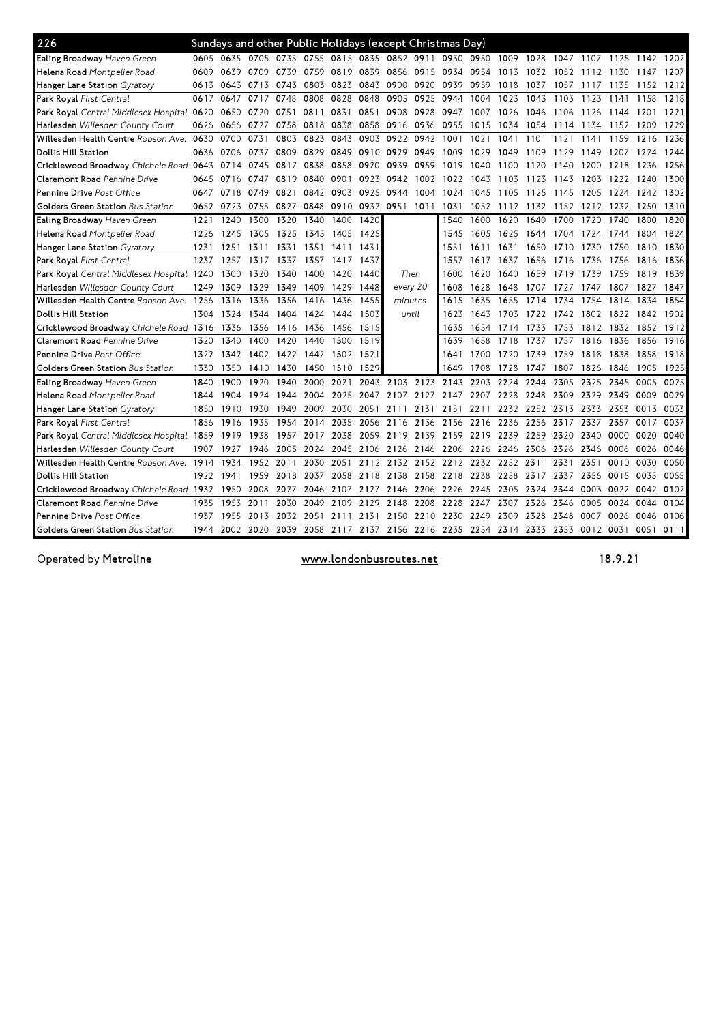| 226                                        |      |                |           |           |           |      |      | Sundays and other Public Holidays (except Christmas Day)    |           |      |                          |      |           |           |           |           |                     |      |
|--------------------------------------------|------|----------------|-----------|-----------|-----------|------|------|-------------------------------------------------------------|-----------|------|--------------------------|------|-----------|-----------|-----------|-----------|---------------------|------|
| Ealing Broadway Haven Green                | 0605 | 0635           | 0705 0735 |           |           |      |      | 0755 0815 0835 0852 0911                                    |           |      | 0930 0950 1009 1028      |      |           | 1047      |           |           | 1107 1125 1142 1202 |      |
| <b>Helena Road</b> Montpelier Road         | 0609 | 0639           | 0709      | 0739      | 0759      | 0819 | 0839 | 0856 0915                                                   |           | 0934 | 0954                     | 1013 | 1032      | 1052      | 1112      | 1130      | 1147                | 1207 |
| Hanger Lane Station <i>Gyratory</i>        | 0613 | 0643           | 0713      | 0743      | 0803      | 0823 | 0843 | 0900                                                        | 0920      | 0939 | 0959                     | 1018 | 1037      | 1057      | 1117      | 1135      | 1152                | 1212 |
| Park Royal First Central                   | 0617 | 0647           | 0717      | 0748      | 0808      | 0828 | 0848 | 0905                                                        | 0925      | 0944 | 1004                     | 1023 | 1043      | 1103      | 1123      | 1141      | 1158                | 1218 |
| Park Royal Central Middlesex Hospital 0620 |      | 0650           | 0720      | 0751      | 0811      | 0831 | 0851 | 0908                                                        | 0928      | 0947 | 1007                     | 1026 | 1046      | 1106      | 1126      | 1144      | 1201                | 1221 |
| <b>Harlesden</b> Willesden County Court    | 0626 | 0656           | 0727      | 0758      | 0818      | 0838 | 0858 | 0916                                                        | 0936      | 0955 | 1015                     | 1034 | 1054      | 1114      | 1134      | 1152      | 1209                | 1229 |
| Willesden Health Centre Robson Ave.        | 0630 | 0700           | 0731      | 0803      | 0823      | 0843 | 0903 | 0922                                                        | 0942      | 1001 | 1021                     | 1041 | 1101      | 1121      | 1141      | 1159      | 1216                | 1236 |
| Dollis Hill Station                        | 0636 | 0706           | 0737      | 0809      | 0829      | 0849 | 0910 | 0929                                                        | 0949      | 1009 | 1029                     | 1049 | 1109      | 1129      | 1149      | 1207      | 1224                | 1244 |
| Cricklewood Broadway Chichele Road 0643    |      | 0714           | 0745      | 0817      | 0838      | 0858 | 0920 | 0939                                                        | 0959      | 1019 | 1040                     | 1100 | 1120      | 1140      | 1200      | 1218      | 1236                | 1256 |
| Claremont Road Pennine Drive               | 0645 | 0716           | 0747      | 0819      | 0840      | 0901 | 0923 | 0942                                                        | 1002      | 1022 | 1043                     | 1103 | 1123      | 1143      | 1203      | 1222      | 1240                | 1300 |
| <b>Pennine Drive</b> Post Office           | 0647 | 0718           | 0749      | 0821      | 0842      | 0903 | 0925 | 0944                                                        | 1004      | 1024 | 1045                     | 1105 | 1125      | 1145      | 1205      | 1224      | 1242                | 1302 |
| <b>Golders Green Station Bus Station</b>   | 0652 | 0723           | 0755 0827 |           | 0848      | 0910 | 0932 | 0951                                                        | 1011      | 1031 | 1052                     | 1112 | 1132 1152 |           | 1212      | 1232 1250 |                     | 1310 |
| Ealing Broadway Haven Green                | 1221 | 1240           | 1300      | 1320      | 1340      | 1400 | 1420 |                                                             |           | 1540 | 1600                     | 1620 | 1640      | 1700      | 1720      | 1740      | 1800                | 1820 |
| Helena Road Montpelier Road                | 1226 | 1245           | 1305      | 1325      | 1345      | 1405 | 1425 |                                                             |           | 1545 | 1605                     | 1625 | 1644      | 1704      | 1724      | 1744      | 1804                | 1824 |
| Hanger Lane Station Gyratory               | 1231 | 1251           | 1311      | 1331      | 1351      | 1411 | 1431 |                                                             |           | 1551 | 1611                     | 1631 | 1650      | 1710      | 1730      | 1750      | 1810                | 1830 |
| Park Royal First Central                   | 1237 | 1257           | 1317      | 1337      | 1357      | 1417 | 1437 |                                                             |           | 1557 | 1617                     | 1637 | 1656      | 1716      | 1736      | 1756      | 1816                | 1836 |
| Park Royal Central Middlesex Hospital 1240 |      | 1300           | 1320      | 1340      | 1400      | 1420 | 1440 | Then                                                        |           | 1600 | 1620                     | 1640 | 1659      | 1719      | 1739      | 1759      | 1819                | 1839 |
| Harlesden Willesden County Court           | 1249 | 1309           | 1329      | 1349      | 1409      | 1429 | 1448 | every 20                                                    |           | 1608 | 1628                     | 1648 | 1707      | 1727      | 1747      | 1807      | 1827                | 1847 |
| Willesden Health Centre Robson Ave. 1256   |      | 1316           | 1336      | 1356      | 1416      | 1436 | 1455 | minutes                                                     |           | 1615 | 1635                     | 1655 | 1714      | 1734      | 1754      | 1814      | 1834                | 1854 |
| Dollis Hill Station                        | 1304 | 1324           | 1344      | 1404      | 1424      | 1444 | 1503 | until                                                       |           | 1623 | 1643                     | 1703 | 1722      | 1742 1802 |           | 1822      | 1842                | 1902 |
| Cricklewood Broadway Chichele Road 1316    |      | 1336           | 1356      | 1416      | 1436      | 1456 | 1515 |                                                             |           | 1635 | 1654                     | 1714 | 1733      | 1753      | 1812 1832 |           | 1852                | 1912 |
| Claremont Road Pennine Drive               | 1320 | 1340           | 1400      | 1420      | 1440      | 1500 | 1519 |                                                             |           | 1639 | 1658                     | 1718 | 1737      | 1757      | 1816      | 1836      | 1856                | 1916 |
| <b>Pennine Drive</b> Post Office           | 1322 | 1342           |           | 1402 1422 | 1442 1502 |      | 1521 |                                                             |           | 1641 | 1700                     | 1720 | 1739      | 1759      | 1818      | 1838      | 1858                | 1918 |
| Golders Green Station Bus Station          | 1330 | 1350           |           | 1410 1430 | 1450      | 1510 | 1529 |                                                             |           | 1649 | 1708                     | 1728 | 1747      | 1807      | 1826      | 1846      | 1905                | 1925 |
| Ealing Broadway Haven Green                | 1840 | 1900           | 1920      | 1940      | 2000      | 2021 | 2043 |                                                             | 2103 2123 |      | 2143 2203 2224           |      | 2244      | 2305      | 2325      | 2345      | 0005                | 0025 |
| <b>Helena Road</b> Montpelier Road         | 1844 | 1904           | 1924      | 1944      | 2004      | 2025 | 2047 |                                                             |           |      | 2107 2127 2147 2207 2228 |      | 2248      | 2309      | 2329      | 2349      | 0009                | 0029 |
| Hanger Lane Station <i>Gyratory</i>        | 1850 | 1910           | 1930      | 1949      | 2009      | 2030 | 2051 | 2111                                                        | 2131      |      | 2151 2211                | 2232 | 2252 2313 |           | 2333      | 2353      | 0013                | 0033 |
| Park Royal First Central                   | 1856 | 1916           | 1935      | 1954      | 2014      | 2035 | 2056 | 2116                                                        | 2136      | 2156 | 2216                     | 2236 | 2256      | 2317      | 2337      | 2357      | 0017                | 0037 |
| Park Royal Central Middlesex Hospital 1859 |      | 1919           | 1938      | 1957      | 2017      | 2038 | 2059 | 2119                                                        | 2139      | 2159 | 2219                     | 2239 | 2259      | 2320      | 2340      | 0000      | 0020                | 0040 |
| <b>Harlesden</b> Willesden County Court    | 1907 | 1927           | 1946      | 2005      | 2024      | 2045 | 2106 | 2126                                                        | 2146      | 2206 | 2226                     | 2246 | 2306      | 2326      | 2346      | 0006      | 0026                | 0046 |
| Willesden Health Centre Robson Ave. 1914   |      | 1934           | 1952      | 2011      | 2030      | 2051 | 2112 |                                                             |           |      | 2132 2152 2212 2232 2252 |      | 2311      | 2331      | 2351      | 0010      | 0030                | 0050 |
| Dollis Hill Station                        | 1922 | 1941           |           | 1959 2018 | 2037      | 2058 | 2118 | 2138                                                        | 2158      | 2218 | 2238                     | 2258 | 2317      | 2337      | 2356      | 0015      | 0035                | 0055 |
| Cricklewood Broadway Chichele Road 1932    |      | 1950           | 2008      | 2027      | 2046      | 2107 | 2127 |                                                             | 2146 2206 | 2226 | 2245                     | 2305 | 2324      | 2344      | 0003      | 0022      | 0042                | 0102 |
| <b>Claremont Road</b> Pennine Drive        | 1935 | 1953           | 2011      | 2030      | 2049      | 2109 | 2129 | 2148                                                        | 2208      | 2228 | 2247                     | 2307 | 2326      | 2346      | 0005      | 0024      | 0044                | 0104 |
| <b>Pennine Drive Post Office</b>           | 1937 | 1955           | 2013      | 2032      | 2051      | 2111 | 2131 | 2150                                                        | 2210      | 2230 | 2249                     | 2309 | 2328      | 2348      | 0007      | 0026      | 0046                | 0106 |
| Golders Green Station Bus Station          | 1944 | 2002 2020 2039 |           |           |           |      |      | 2058 2117 2137 2156 2216 2235 2254 2314 2333 2353 0012 0031 |           |      |                          |      |           |           |           |           | 0051 0111           |      |

Operated by Metroline **Exercise 20** Works www.londonbusroutes.net 18.9.21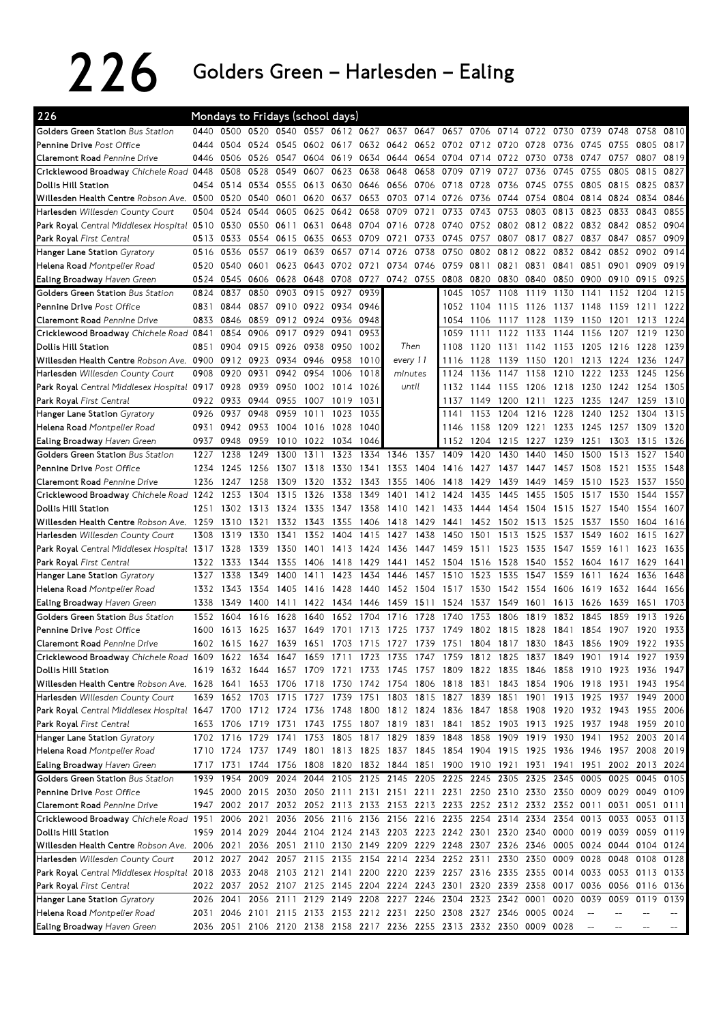## 226 Golders Green – Harlesden – Ealing

| 226                                                                                                                             |      |                | Mondays to Fridays (school days) |           |           |           |      |                                                                                           |           |      |           |                |      |           |      |      |                                              |           |
|---------------------------------------------------------------------------------------------------------------------------------|------|----------------|----------------------------------|-----------|-----------|-----------|------|-------------------------------------------------------------------------------------------|-----------|------|-----------|----------------|------|-----------|------|------|----------------------------------------------|-----------|
| <b>Golders Green Station</b> Bus Station                                                                                        | 0440 | 0500 0520      |                                  | 0540      | 0557      |           |      | 0612 0627 0637 0647                                                                       |           | 0657 | 0706      | 0714           |      | 0722 0730 | 0739 | 0748 | 0758                                         | 0810      |
| Pennine Drive Post Office                                                                                                       | 0444 | 0504           | 0524                             | 0545      |           | 0602 0617 |      | 0632 0642 0652 0702 0712 0720                                                             |           |      |           |                | 0728 | 0736      | 0745 | 0755 | 0805                                         | 0817      |
| <b>Claremont Road</b> Pennine Drive                                                                                             | 0446 | 0506           | 0526                             | 0547      | 0604      | 0619      | 0634 | 0644 0654                                                                                 |           | 0704 | 0714      | 0722           | 0730 | 0738      | 0747 | 0757 | 0807                                         | 0819      |
| Cricklewood Broadway Chichele Road 0448                                                                                         |      | 0508           | 0528                             | 0549      | 0607      | 0623      | 0638 | 0648                                                                                      | 0658      | 0709 | 0719      | 0727           | 0736 | 0745      | 0755 | 0805 | 0815                                         | 0827      |
| Dollis Hill Station                                                                                                             | 0454 | 0514           | 0534                             | 0555      | 0613 0630 |           | 0646 | 0656 0706                                                                                 |           |      | 0718 0728 | 0736           | 0745 | 0755      | 0805 | 0815 | 0825                                         | 0837      |
| Willesden Health Centre Robson Ave. 0500                                                                                        |      | 0520           | 0540                             | 0601      | 0620      | 0637      | 0653 |                                                                                           | 0703 0714 | 0726 | 0736      | 0744           |      | 0754 0804 | 0814 | 0824 | 0834                                         | 0846      |
| Harlesden Willesden County Court                                                                                                | 0504 | 0524           | 0544                             | 0605      | 0625      | 0642      | 0658 | 0709                                                                                      | 0721      | 0733 | 0743      | 0753           | 0803 | 0813      | 0823 | 0833 | 0843                                         | 0855      |
| Park Royal Central Middlesex Hospital 0510                                                                                      |      | 0530           | 0550                             | 0611      | 0631      | 0648      | 0704 | 0716                                                                                      | 0728      | 0740 | 0752      | 0802           | 0812 | 0822      | 0832 | 0842 | 0852                                         | 0904      |
| Park Royal First Central                                                                                                        | 0513 | 0533           | 0554                             | 0615      | 0635      | 0653      | 0709 | 0721                                                                                      | 0733      | 0745 | 0757      | 0807           | 0817 | 0827      | 0837 | 0847 | 0857                                         | 0909      |
| <b>Hanger Lane Station</b> <i>Gyratory</i>                                                                                      | 0516 | 0536           | 0557                             | 0619      | 0639      | 0657      | 0714 | 0726                                                                                      | 0738      | 0750 | 0802      | 0812           | 0822 | 0832      | 0842 | 0852 | 0902                                         | 0914      |
| Helena Road Montpelier Road                                                                                                     | 0520 | 0540           | 0601                             | 0623      | 0643      | 0702      | 0721 | 0734                                                                                      | 0746      | 0759 | 0811      | 0821           | 0831 | 0841      | 0851 | 0901 | 0909                                         | 0919      |
| Ealing Broadway Haven Green                                                                                                     | 0524 | 0545           | 0606                             | 0628      | 0648      | 0708      | 0727 | 0742 0755                                                                                 |           | 0808 | 0820      | 0830           | 0840 | 0850      | 0900 | 0910 | 0915                                         | 0925      |
| Golders Green Station Bus Station                                                                                               | 0824 | 0837           | 0850                             | 0903      | 0915      | 0927      | 0939 |                                                                                           |           | 1045 | 1057      | 1108           | 1119 | 1130      | 1141 | 1152 | 1204                                         | 1215      |
| Pennine Drive Post Office                                                                                                       | 0831 | 0844           | 0857                             | 0910      | 0922 0934 |           | 0946 |                                                                                           |           | 1052 | 1104      | 1115           | 1126 | 1137      | 1148 | 1159 | 1211                                         | 1222      |
| Claremont Road Pennine Drive                                                                                                    | 0833 | 0846           | 0859                             | 0912      | 0924      | 0936      | 0948 |                                                                                           |           | 1054 | 1106      | 1117           | 1128 | 1139      | 1150 | 1201 | 1213                                         | 1224      |
| Cricklewood Broadway Chichele Road 0841                                                                                         |      | 0854           | 0906                             | 0917      | 0929      | 0941      | 0953 |                                                                                           |           | 1059 | 1111      | 1122           | 1133 | 1144      | 1156 | 1207 | 1219                                         | 1230      |
| Dollis Hill Station                                                                                                             | 0851 | 0904           | 0915                             | 0926      | 0938      | 0950      | 1002 |                                                                                           | Then      | 1108 | 1120      | 1131           | 1142 | 1153      | 1205 | 1216 | 1228                                         | 1239      |
| Willesden Health Centre Robson Ave.                                                                                             | 0900 | 0912           | 0923                             | 0934      | 0946      | 0958      | 1010 | every 11                                                                                  |           | 1116 | 1128      | 1139           | 1150 | 1201      | 1213 | 1224 | 1236                                         | 1247      |
| Harlesden Willesden County Court                                                                                                | 0908 | 0920           | 0931                             | 0942      | 0954      | 1006      | 1018 | minutes                                                                                   |           | 1124 | 1136      | 1147           | 1158 | 1210      | 1222 | 1233 | 1245                                         | 1256      |
| Park Royal Central Middlesex Hospital 0917                                                                                      |      | 0928           | 0939                             | 0950      | 1002      | 1014      | 1026 | until                                                                                     |           |      | 1132 1144 | 1155           | 1206 | 1218      | 1230 |      | 1242 1254                                    | 1305      |
| Park Royal First Central                                                                                                        | 0922 | 0933           | 0944                             | 0955      | 1007      | 1019      | 1031 |                                                                                           |           | 1137 | 1149      | 1200           | 1211 | 1223      | 1235 | 1247 | 1259                                         | 1310      |
| Hanger Lane Station Gyratory                                                                                                    | 0926 | 0937           | 0948                             | 0959      | 1011      | 1023      | 1035 |                                                                                           |           | 1141 | 1153      | 1204           | 1216 | 1228      | 1240 | 1252 | 1304                                         | 1315      |
| Helena Road Montpelier Road                                                                                                     | 0931 | 0942           | 0953                             | 1004      | 1016      | 1028      | 1040 |                                                                                           |           | 1146 | 1158      | 1209           | 1221 | 1233      | 1245 | 1257 | 1309                                         | 1320      |
| Ealing Broadway Haven Green                                                                                                     | 0937 | 0948           | 0959                             | 1010      | 1022      | 1034      | 1046 |                                                                                           |           | 1152 | 1204      | 1215           | 1227 | 1239      | 1251 | 1303 | 1315                                         | 1326      |
| Golders Green Station Bus Station                                                                                               | 1227 | 1238           | 1249                             | 1300      | 1311      | 1323      | 1334 | 1346                                                                                      | 1357      | 1409 | 1420      | 1430           | 1440 | 1450      | 1500 | 1513 | 1527                                         | 1540      |
| Pennine Drive Post Office                                                                                                       | 1234 | 1245           | 1256                             | 1307      | 1318      | 1330      | 1341 | 1353                                                                                      | 1404      | 1416 | 1427      | 1437           | 1447 | 1457      | 1508 | 1521 | 1535                                         | 1548      |
| Claremont Road Pennine Drive                                                                                                    | 1236 | 1247           | 1258                             | 1309      | 1320      | 1332      | 1343 | 1355                                                                                      | 1406      | 1418 | 1429      | 1439           | 1449 | 1459      | 1510 | 1523 | 1537                                         | 1550      |
| Cricklewood Broadway Chichele Road 1242                                                                                         |      | 1253           | 1304                             | 1315      | 1326      | 1338      | 1349 | 1401                                                                                      | 1412      | 1424 | 1435      | 1445           | 1455 | 1505      | 1517 | 1530 | 1544                                         | 1557      |
| Dollis Hill Station                                                                                                             | 1251 | 1302           | 1313                             | 1324      | 1335      | 1347      | 1358 | 1410                                                                                      | 1421      | 1433 | 1444      | 1454           | 1504 | 1515      | 1527 | 1540 | 1554                                         | 1607      |
| Willesden Health Centre Robson Ave. 1259                                                                                        |      | 1310           | 1321                             | 1332      | 1343      | 1355      | 1406 | 1418                                                                                      | 1429      | 1441 | 1452      | 1502           | 1513 | 1525      | 1537 | 1550 | 1604                                         | 1616      |
| Harlesden Willesden County Court                                                                                                | 1308 | 1319           | 1330                             | 1341      | 1352      | 1404      | 1415 | 1427                                                                                      | 1438      | 1450 | 1501      | 1513           | 1525 | 1537      | 1549 | 1602 | 1615                                         | 1627      |
| Park Royal Central Middlesex Hospital 1317                                                                                      |      | 1328           | 1339                             | 1350      | 1401      | 1413      | 1424 | 1436                                                                                      | 1447      | 1459 | 1511      | 1523           | 1535 | 1547      | 1559 | 1611 | 1623                                         | 1635      |
| Park Royal First Central                                                                                                        | 1322 | 1333           | 1344                             | 1355      | 1406      | 1418      | 1429 | 1441                                                                                      | 1452      | 1504 | 1516      | 1528           | 1540 | 1552      | 1604 | 1617 | 1629                                         | 1641      |
| Hanger Lane Station Gyratory                                                                                                    | 1327 | 1338           | 1349                             | 1400      | 1411      | 1423      | 1434 | 1446                                                                                      | 1457      | 1510 | 1523      | 1535           | 1547 | 1559      | 1611 | 1624 | 1636                                         | 1648      |
| Helena Road Montpelier Road                                                                                                     | 1332 | 1343           | 1354                             | 1405      | 1416      | 1428      | 1440 | 1452                                                                                      | 1504      | 1517 | 1530      | 1542           | 1554 | 1606      | 1619 | 1632 | 1644                                         | 1656      |
| Ealing Broadway Haven Green                                                                                                     | 1338 | 1349           | 1400                             | 1411      | 1422      | 1434      | 1446 | 1459                                                                                      | 1511      | 1524 | 1537      | 1549           | 1601 | 1613      | 1626 | 1639 | 1651                                         | 1703      |
| Golders Green Station Bus Station                                                                                               | 1552 | 1604           | 1616                             | 1628      | 1640      | 1652      | 1704 | 1716                                                                                      | 1728      | 1740 | 1753      | 1806           | 1819 | 1832      | 1845 | 1859 | 1913                                         | 1926      |
| Pennine Drive Post Office                                                                                                       | 1600 | 1613           | 1625                             | 1637      | 1649      | 1701      | 1713 | 1725                                                                                      | 1737      | 1749 | 1802      | 1815           | 1828 | 1841      | 1854 | 1907 | 1920                                         | 1933      |
| Claremont Road Pennine Drive                                                                                                    |      | 1602 1615 1627 |                                  | 1639 1651 |           | 1703      | 1715 | 1727 1739                                                                                 |           | 1751 |           | 1804 1817 1830 |      | 1843      | 1856 |      | 1909 1922 1935                               |           |
| Cricklewood Broadway Chichele Road 1609 1622 1634 1647 1659 1711 1723 1735 1747 1759 1812 1825 1837 1849 1901 1914 1927 1939    |      |                |                                  |           |           |           |      |                                                                                           |           |      |           |                |      |           |      |      |                                              |           |
| Dollis Hill Station                                                                                                             |      |                |                                  |           |           |           |      | 1619 1632 1644 1657 1709 1721 1733 1745 1757 1809 1822 1835 1846 1858 1910 1923 1936 1947 |           |      |           |                |      |           |      |      |                                              |           |
| Willesden Health Centre Robson Ave. 1628 1641 1653 1706 1718 1730 1742 1754 1806 1818 1831 1843 1854 1906 1918 1931 1943 1954   |      |                |                                  |           |           |           |      |                                                                                           |           |      |           |                |      |           |      |      |                                              |           |
| Harlesden Willesden County Court                                                                                                |      |                |                                  |           |           |           |      | 1639 1652 1703 1715 1727 1739 1751 1803 1815 1827 1839 1851 1901 1913 1925 1937 1949 2000 |           |      |           |                |      |           |      |      |                                              |           |
| Park Royal Central Middlesex Hospital 1647 1700 1712 1724 1736 1748 1800 1812 1824 1836 1847 1858 1908 1920 1932 1943 1955 2006 |      |                |                                  |           |           |           |      |                                                                                           |           |      |           |                |      |           |      |      |                                              |           |
| Park Royal First Central                                                                                                        |      | 1653 1706      | 1719 1731                        |           |           |           |      | 1743 1755 1807 1819 1831                                                                  |           |      |           |                |      |           |      |      | 1841 1852 1903 1913 1925 1937 1948 1959 2010 |           |
| Hanger Lane Station Gyratory                                                                                                    |      |                |                                  |           |           |           |      | 1702 1716 1729 1741 1753 1805 1817 1829 1839 1848 1858 1909 1919 1930 1941 1952 2003 2014 |           |      |           |                |      |           |      |      |                                              |           |
| Helena Road Montpelier Road                                                                                                     |      |                |                                  |           |           |           |      | 1710 1724 1737 1749 1801 1813 1825 1837 1845 1854 1904 1915 1925 1936 1946 1957 2008 2019 |           |      |           |                |      |           |      |      |                                              |           |
| Ealing Broadway Haven Green                                                                                                     |      | 1717 1731      |                                  |           |           |           |      | 1744 1756 1808 1820 1832 1844 1851 1900 1910 1921 1931 1941 1951 2002 2013 2024           |           |      |           |                |      |           |      |      |                                              |           |
| Golders Green Station Bus Station                                                                                               |      |                |                                  |           |           |           |      | 1939 1954 2009 2024 2044 2105 2125 2145 2205 2225 2245 2305 2325 2345 0005 0025 0045 0105 |           |      |           |                |      |           |      |      |                                              |           |
| Pennine Drive Post Office                                                                                                       |      |                |                                  |           |           |           |      | 1945 2000 2015 2030 2050 2111 2131 2151 2211 2231 2250 2310 2330 2350 0009 0029 0049 0109 |           |      |           |                |      |           |      |      |                                              |           |
| Claremont Road Pennine Drive                                                                                                    |      |                |                                  |           |           |           |      | 1947 2002 2017 2032 2052 2113 2133 2153 2213 2233 2252 2312 2332 2352 0011 0031 0051 0111 |           |      |           |                |      |           |      |      |                                              |           |
| Cricklewood Broadway Chichele Road 1951                                                                                         |      |                | 2006 2021                        |           |           |           |      | 2036 2056 2116 2136 2156 2216 2235 2254 2314 2334 2354 0013 0033 0053 0113                |           |      |           |                |      |           |      |      |                                              |           |
| Dollis Hill Station                                                                                                             |      |                |                                  |           |           |           |      | 1959 2014 2029 2044 2104 2124 2143 2203 2223 2242 2301 2320 2340 0000 0019 0039 0059 0119 |           |      |           |                |      |           |      |      |                                              |           |
| Willesden Health Centre Robson Ave. 2006 2021 2036 2051 2110 2130 2149 2209 2229 2248 2307 2326 2346 0005 0024 0044 0104 0124   |      |                |                                  |           |           |           |      |                                                                                           |           |      |           |                |      |           |      |      |                                              |           |
| Harlesden Willesden County Court                                                                                                |      |                |                                  |           |           |           |      | 2012 2027 2042 2057 2115 2135 2154 2214 2234 2252 2311 2330 2350 0009 0028 0048 0108 0128 |           |      |           |                |      |           |      |      |                                              |           |
| Park Royal Central Middlesex Hospital 2018 2033 2048 2103 2121 2141 2200 2220 2239 2257 2316 2335 2355 0014 0033 0053 0113 0133 |      |                |                                  |           |           |           |      |                                                                                           |           |      |           |                |      |           |      |      |                                              |           |
|                                                                                                                                 |      | 2022 2037      |                                  |           |           |           |      |                                                                                           |           |      |           |                |      |           |      |      |                                              |           |
| Park Royal First Central                                                                                                        |      |                |                                  |           |           |           |      | 2052 2107 2125 2145 2204 2224 2243 2301 2320 2339 2358 0017 0036 0056 0116 0136           |           |      |           |                |      |           |      |      |                                              |           |
| Hanger Lane Station Gyratory                                                                                                    | 2026 | 2041           |                                  | 2056 2111 |           |           |      | 2129 2149 2208 2227 2246 2304 2323 2342                                                   |           |      |           |                | 0001 | 0020      | 0039 | 0059 |                                              | 0119 0139 |
| Helena Road Montpelier Road                                                                                                     |      |                |                                  |           |           |           |      | 2031 2046 2101 2115 2133 2153 2212 2231 2250 2308 2327 2346 0005 0024                     |           |      |           |                |      |           |      |      |                                              |           |
| Ealing Broadway Haven Green                                                                                                     |      |                |                                  |           |           |           |      | 2036 2051 2106 2120 2138 2158 2217 2236 2255 2313 2332 2350 0009 0028                     |           |      |           |                |      |           |      |      |                                              |           |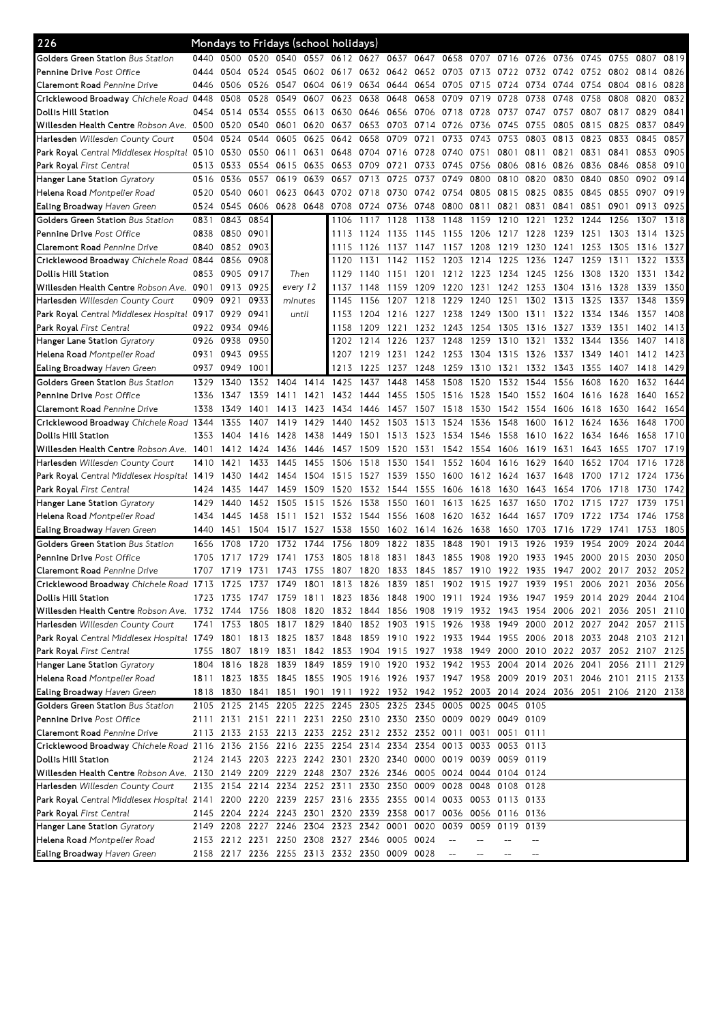| 226                                                                                                                             |              |              |              |              |              | Mondays to Fridays (school holidays)                                                      |      |                |              |              |              |                     |              |              |                |              |                          |              |
|---------------------------------------------------------------------------------------------------------------------------------|--------------|--------------|--------------|--------------|--------------|-------------------------------------------------------------------------------------------|------|----------------|--------------|--------------|--------------|---------------------|--------------|--------------|----------------|--------------|--------------------------|--------------|
| <b>Golders Green Station</b> Bus Station                                                                                        | 0440         |              |              |              |              | 0500 0520 0540 0557 0612 0627 0637 0647                                                   |      |                |              | 0658         | 0707         | 0716 0726           |              | 0736         | 0745           | 0755         | 0807                     | 0819         |
| Pennine Drive Post Office                                                                                                       | 0444         | 0504         | 0524 0545    |              |              | 0602 0617                                                                                 | 0632 | 0642 0652 0703 |              |              | 0713         | 0722                | 0732         |              | 0742 0752 0802 |              | 0814                     | 0826         |
| <b>Claremont Road</b> Pennine Drive                                                                                             | 0446         | 0506         | 0526 0547    |              | 0604         | 0619                                                                                      | 0634 | 0644           | 0654         | 0705         | 0715         | 0724                | 0734         | 0744         | 0754           | 0804         | 0816                     | 0828         |
| Cricklewood Broadway Chichele Road 0448                                                                                         |              | 0508         | 0528         | 0549         | 0607         | 0623                                                                                      | 0638 | 0648           | 0658         | 0709         | 0719         | 0728                | 0738         | 0748         | 0758           | 0808         | 0820                     | 0832         |
| Dollis Hill Station                                                                                                             | 0454         | 0514         | 0534 0555    |              | 0613         | 0630                                                                                      | 0646 | 0656 0706      |              | 0718         | 0728         | 0737                | 0747         | 0757         | 0807           | 0817         | 0829                     | 0841         |
| Willesden Health Centre Robson Ave. 0500                                                                                        |              | 0520         | 0540 0601    |              | 0620         | 0637                                                                                      | 0653 | 0703           | 0714         | 0726         | 0736         | 0745                | 0755         | 0805         | 0815           | 0825         | 0837                     | 0849         |
| Harlesden Willesden County Court                                                                                                | 0504         | 0524         | 0544         | 0605         | 0625         | 0642                                                                                      | 0658 | 0709           | 0721         | 0733         | 0743         | 0753                | 0803         | 0813         | 0823           | 0833         | 0845                     | 0857         |
| Park Royal Central Middlesex Hospital 0510                                                                                      |              | 0530         | 0550 0611    |              | 0631         | 0648                                                                                      | 0704 | 0716           | 0728         | 0740         | 0751         | 0801                | 0811         | 0821         | 0831           | 0841         | 0853                     | 0905         |
| Park Royal First Central                                                                                                        | 0513         | 0533         | 0554 0615    |              | 0635         | 0653                                                                                      | 0709 | 0721           | 0733         | 0745         | 0756         | 0806                | 0816         | 0826         | 0836           | 0846         | 0858                     | 0910         |
| Hanger Lane Station <i>Gyratory</i>                                                                                             | 0516         | 0536         | 0557         | 0619         | 0639         | 0657                                                                                      | 0713 | 0725           | 0737         | 0749         | 0800         | 0810                | 0820         | 0830         | 0840           | 0850         | 0902                     | 0914         |
| <b>Helena Road</b> Montpelier Road                                                                                              | 0520         | 0540         | 0601         | 0623         | 0643         | 0702                                                                                      | 0718 | 0730           | 0742         | 0754         | 0805         | 0815                | 0825         | 0835         | 0845           | 0855         | 0907                     | 0919         |
| <b>Ealing Broadway</b> Haven Green                                                                                              | 0524         | 0545         | 0606 0628    |              | 0648         | 0708 0724                                                                                 |      | 0736 0748      |              | 0800         | 0811         | 0821                | 0831         | 0841         | 0851           | 0901         | 0913                     | 0925         |
| Golders Green Station Bus Station                                                                                               | 0831         | 0843         | 0854         |              |              | 1106                                                                                      | 1117 | 1128           | 1138         | 1148         | 1159         | 1210                | 1221         | 1232         | 1244           | 1256         | 1307                     | 1318         |
| <b>Pennine Drive</b> Post Office                                                                                                | 0838         | 0850         | 0901         |              |              | 1113                                                                                      | 1124 | 1135           | 1145         | 1155         | 1206         | 1217                | 1228         | 1239         | 1251           | 1303         | 1314                     | 1325         |
| Claremont Road Pennine Drive                                                                                                    | 0840         | 0852         | 0903         |              |              | 1115                                                                                      | 1126 | 1137           | 1147         | 1157         | 1208         | 1219                | 1230         | 1241         | 1253           | 1305         | 1316                     | 1327         |
| Cricklewood Broadway Chichele Road 0844                                                                                         |              | 0856         | 0908         |              |              | 1120                                                                                      | 1131 | 1142           | 1152         | 1203         | 1214         | 1225                | 1236         | 1247         | 1259           | 1311         | 1322                     | 1333         |
| Dollis Hill Station                                                                                                             | 0853         | 0905         | 0917         | Then         |              | 1129                                                                                      | 1140 | 1151           | 1201         | 1212 1223    |              | 1234                | 1245         | 1256         | 1308           | 1320         | 1331                     | 1342         |
| <b>Willesden Health Centre</b> Robson Ave. <b>09</b> 01                                                                         |              | 0913         | 0925         | every 12     |              | 1137                                                                                      | 1148 | 1159           | 1209         | 1220         | 1231         | 1242                | 1253         | 1304         | 1316           | 1328         | 1339                     | 1350         |
| Harlesden Willesden County Court                                                                                                | 0909         | 0921         | 0933         | minutes      |              | 1145                                                                                      | 1156 | 1207           | 1218         | 1229         | 1240         | 1251                | 1302         | 1313         | 1325           | 1337         | 1348                     | 1359         |
| Park Royal Central Middlesex Hospital 0917                                                                                      |              | 0929         | 0941         | until        |              | 1153                                                                                      | 1204 | 1216 1227      |              | 1238         | 1249         | 1300                | 1311         | 1322         | 1334           | 1346         | 1357                     | 1408         |
| <b>Park Royal</b> First Central                                                                                                 | 0922         | 0934         | 0946         |              |              | 1158                                                                                      | 1209 | 1221           | 1232         | 1243         | 1254         | 1305                | 1316         | 1327         | 1339           | 1351         | 1402                     | 1413         |
| Hanger Lane Station Gyratory                                                                                                    | 0926         | 0938         | 0950         |              |              | 1202                                                                                      | 1214 | 1226           | 1237         | 1248         | 1259         | 1310                | 1321         | 1332         | 1344           | 1356         | 1407                     | 1418         |
| <b>Helena Road</b> Montpelier Road                                                                                              | 0931         | 0943         | 0955         |              |              | 1207                                                                                      | 1219 | 1231           | 1242         | 1253         |              | 1304 1315           | 1326         | 1337         | 1349           | 1401         | 1412                     | 1423         |
| Ealing Broadway Haven Green                                                                                                     | 0937         | 0949         | 1001         |              |              | 1213                                                                                      | 1225 | 1237           | 1248         | 1259         | 1310         | 1321                | 1332         | 1343         | 1355           | 1407         | 1418                     | 1429         |
| Golders Green Station Bus Station                                                                                               | 1329         | 1340         | 1352         | 1404         | 1414         | 1425                                                                                      | 1437 | 1448           | 1458         | 1508         | 1520         | 1532                | 1544         | 1556         | 1608           | 1620         | 1632                     | 1644         |
| <b>Pennine Drive</b> Post Office                                                                                                |              |              |              | 1411         |              |                                                                                           |      |                |              |              |              |                     |              |              |                |              |                          | 1652         |
|                                                                                                                                 | 1336<br>1338 | 1347         | 1359<br>1401 |              | 1421<br>1423 | 1432                                                                                      | 1444 | 1455           | 1505         | 1516<br>1518 | 1528         | 1540                | 1552         | 1604         | 1616           | 1628         | 1640                     | 1654         |
| <b>Claremont Road</b> Pennine Drive                                                                                             |              | 1349<br>1355 | 1407         | 1413<br>1419 | 1429         | 1434<br>1440                                                                              | 1446 | 1457<br>1503   | 1507<br>1513 | 1524         | 1530<br>1536 | 1542<br>1548        | 1554<br>1600 | 1606<br>1612 | 1618<br>1624   | 1630<br>1636 | 1642<br>1648             | 1700         |
| Cricklewood Broadway Chichele Road 1344                                                                                         |              |              |              |              |              |                                                                                           | 1452 |                |              |              |              |                     |              |              |                |              |                          |              |
| Dollis Hill Station                                                                                                             | 1353         | 1404         | 1416         | 1428         | 1438         | 1449                                                                                      | 1501 | 1513           | 1523         | 1534         | 1546         | 1558                | 1610         | 1622         | 1634           | 1646         | 1658                     | 1710<br>1719 |
| <b>Willesden Health Centre</b> Robson Ave. 1 <b>4</b> 01                                                                        |              | 1412         | 1424         | 1436         | 1446         | 1457                                                                                      | 1509 | 1520           | 1531         | 1542         | 1554         | 1606                | 1619         | 1631         | 1643           | 1655         | 1707                     | 1728         |
| <b>Harlesden</b> Willesden County Court                                                                                         | 1410         | 1421         | 1433         | 1445         | 1455         | 1506                                                                                      | 1518 | 1530           | 1541         | 1552         | 1604         | 1616                | 1629         | 1640         | 1652           | 1704         | 1716                     |              |
| Park Royal Central Middlesex Hospital 1419                                                                                      |              | 1430         | 1442         | 1454         | 1504         | 1515                                                                                      | 1527 | 1539           | 1550         | 1600         |              | 1612 1624           | 1637         | 1648         | 1700           |              | 1712 1724                | 1736         |
| Park Royal First Central                                                                                                        | 1424         | 1435         | 1447         | 1459         | 1509         | 1520<br>1526                                                                              | 1532 | 1544           | 1555         | 1606         | 1618         | 1630                | 1643         | 1654         | 1706           | 1718         | 1730                     | 1742         |
| Hanger Lane Station Gyratory                                                                                                    | 1429         | 1440         | 1452         | 1505         | 1515         |                                                                                           | 1538 | 1550           | 1601         | 1613         | 1625         | 1637                | 1650         | 1702         | 1715           | 1727         | 1739                     | 1751         |
| <b>Helena Road</b> Montpelier Road                                                                                              | 1434         | 1445         | 1458         | 1511         | 1521         | 1532                                                                                      | 1544 | 1556           | 1608         | 1620         | 1632         | 1644                | 1657         | 1709         | 1722           | 1734         | 1746                     | 1758         |
| Ealing Broadway Haven Green                                                                                                     | 1440         | 1451         | 1504         | 1517         | 1527         | 1538                                                                                      | 1550 |                | 1602 1614    | 1626         | 1638         | 1650                | 1703         | 1716         | 1729           | 1741         | 1753                     | 1805         |
| Golders Green Station Bus Station                                                                                               | 1656         | 1708         | 1720         | 1732         | 1744         | 1756                                                                                      | 1809 | 1822           | 1835         | 1848         | 1901         | 1913                | 1926         | 1939         | 1954           | 2009         | 2024                     | 2044         |
| <b>Pennine Drive</b> Post Office                                                                                                | 1705         | 1717         | 1729         | 1741         | 1753         | 1805                                                                                      | 1818 | 1831           | 1843         | 1855         | 1908         | 1920                | 1933         | 1945         | 2000           | 2015         | 2030                     | 2050         |
| <b>Claremont Road</b> Pennine Drive                                                                                             | 1707         | 1719         | 1731         | 1743         | 1755         | 1807 1820                                                                                 |      | 1833 1845      |              |              |              | 1857 1910 1922 1935 |              |              |                |              | 1947 2002 2017 2032 2052 |              |
| Cricklewood Broadway Chichele Road 1713 1725 1737 1749 1801 1813 1826 1839 1851 1902 1915 1927 1939 1951 2006 2021 2036 2056    |              |              |              |              |              |                                                                                           |      |                |              |              |              |                     |              |              |                |              |                          |              |
| Dollis Hill Station                                                                                                             |              |              |              |              |              | 1723 1735 1747 1759 1811 1823 1836 1848 1900 1911 1924 1936 1947 1959 2014 2029 2044 2104 |      |                |              |              |              |                     |              |              |                |              |                          |              |
| Willesden Health Centre Robson Ave. 1732 1744 1756 1808 1820 1832 1844 1856 1908 1919 1932 1943 1954 2006 2021 2036 2051 2110   |              |              |              |              |              |                                                                                           |      |                |              |              |              |                     |              |              |                |              |                          |              |
| <b>Harlesden</b> Willesden County Court                                                                                         |              |              |              |              |              | 1741 1753 1805 1817 1829 1840 1852 1903 1915 1926 1938 1949 2000 2012 2027 2042 2057 2115 |      |                |              |              |              |                     |              |              |                |              |                          |              |
| Park Royal Central Middlesex Hospital 1749 1801 1813 1825 1837 1848 1859 1910 1922 1933 1944 1955 2006 2018 2033 2048 2103 2121 |              |              |              |              |              |                                                                                           |      |                |              |              |              |                     |              |              |                |              |                          |              |
| Park Royal First Central                                                                                                        |              |              |              |              |              | 1755 1807 1819 1831 1842 1853 1904 1915 1927 1938 1949 2000 2010 2022 2037 2052 2107 2125 |      |                |              |              |              |                     |              |              |                |              |                          |              |
| Hanger Lane Station Gyratory                                                                                                    |              |              |              |              |              | 1804 1816 1828 1839 1849 1859 1910 1920 1932 1942 1953 2004 2014 2026 2041 2056 2111 2129 |      |                |              |              |              |                     |              |              |                |              |                          |              |
| <b>Helena Road</b> Montpelier Road                                                                                              |              |              |              |              |              | 1811 1823 1835 1845 1855 1905 1916 1926 1937 1947 1958 2009 2019 2031 2046 2101 2115 2133 |      |                |              |              |              |                     |              |              |                |              |                          |              |
| <b>Ealing Broadway</b> Haven Green                                                                                              |              |              |              |              |              | 1818 1830 1841 1851 1901 1911 1922 1932 1942 1952 2003 2014 2024 2036 2051 2106 2120 2138 |      |                |              |              |              |                     |              |              |                |              |                          |              |
| Golders Green Station Bus Station                                                                                               |              |              |              |              |              | 2105 2125 2145 2205 2225 2245 2305 2325 2345 0005 0025 0045 0105                          |      |                |              |              |              |                     |              |              |                |              |                          |              |
| <b>Pennine Drive</b> Post Office                                                                                                |              |              |              |              |              | 2111 2131 2151 2211 2231 2250 2310 2330 2350 0009 0029 0049 0109                          |      |                |              |              |              |                     |              |              |                |              |                          |              |
| Claremont Road Pennine Drive                                                                                                    |              |              |              |              |              | 2113 2133 2153 2213 2233 2252 2312 2332 2352 0011 0031 0051 0111                          |      |                |              |              |              |                     |              |              |                |              |                          |              |
| Cricklewood Broadway Chichele Road 2116 2136 2156 2216 2235 2254 2314 2334 2354                                                 |              |              |              |              |              |                                                                                           |      |                |              |              |              | 0013 0033 0053 0113 |              |              |                |              |                          |              |
| Dollis Hill Station                                                                                                             |              |              |              |              |              | 2124 2143 2203 2223 2242 2301 2320 2340 0000 0019 0039 0059 0119                          |      |                |              |              |              |                     |              |              |                |              |                          |              |
| Willesden Health Centre Robson Ave.  2130   2149   2209   2229   2248   2307   2326   2346   0005   0024   0044   0104   0124   |              |              |              |              |              |                                                                                           |      |                |              |              |              |                     |              |              |                |              |                          |              |
| <b>Harlesden</b> Willesden County Court                                                                                         |              |              |              |              |              | 2135 2154 2214 2234 2252 2311 2330 2350 0009 0028 0048 0108 0128                          |      |                |              |              |              |                     |              |              |                |              |                          |              |
| Park Royal Central Middlesex Hospital 2141 2200 2220 2239 2257 2316 2335 2355 0014 0033 0053 0113 0133                          |              |              |              |              |              |                                                                                           |      |                |              |              |              |                     |              |              |                |              |                          |              |
| <b>Park Royal</b> First Central                                                                                                 |              |              |              |              |              | 2145 2204 2224 2243 2301 2320 2339 2358 0017 0036 0056 0116 0136                          |      |                |              |              |              |                     |              |              |                |              |                          |              |
| Hanger Lane Station Gyratory                                                                                                    |              | 2149 2208    |              |              |              | 2227 2246 2304 2323 2342 0001                                                             |      |                | 0020         | 0039         | 0059         | 0119                | 0139         |              |                |              |                          |              |
| <b>Helena Road</b> Montpelier Road                                                                                              |              |              |              |              |              | 2153 2212 2231 2250 2308 2327 2346 0005 0024                                              |      |                |              |              |              |                     |              |              |                |              |                          |              |
| Ealing Broadway Haven Green                                                                                                     |              |              |              |              |              | 2158 2217 2236 2255 2313 2332 2350 0009 0028                                              |      |                |              |              |              |                     |              |              |                |              |                          |              |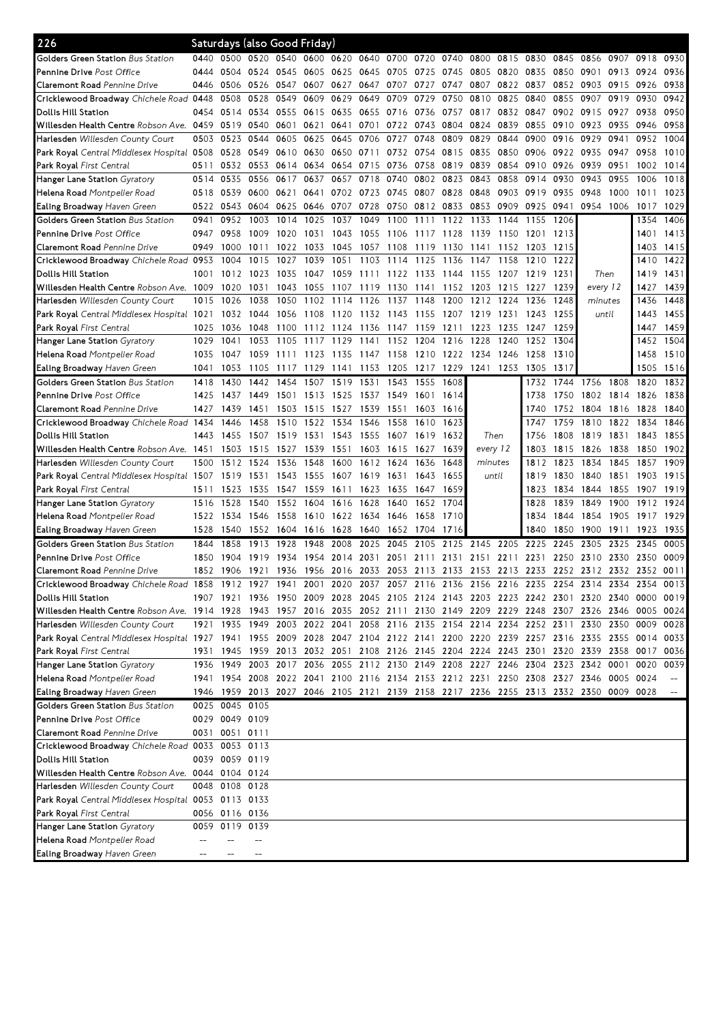| 226                                                                                                                             | Saturdays (also Good Friday) |                |                     |       |           |                |                |           |        |      |                                                                  |      |      |      |                                                                                           |      |           |      |
|---------------------------------------------------------------------------------------------------------------------------------|------------------------------|----------------|---------------------|-------|-----------|----------------|----------------|-----------|--------|------|------------------------------------------------------------------|------|------|------|-------------------------------------------------------------------------------------------|------|-----------|------|
| <b>Golders Green Station</b> Bus Station                                                                                        | 0440                         | 0500           | 0520 0540           |       | 0600      |                | 0620 0640 0700 |           | 0720   | 0740 | 0800                                                             | 0815 | 0830 | 0845 | 0856                                                                                      | 0907 | 0918      | 0930 |
| <b>Pennine Drive</b> Post Office                                                                                                | 0444                         | 0504           | 0524 0545           |       | 0605      | 0625 0645      |                | 0705      | 0725   | 0745 | 0805                                                             | 0820 | 0835 | 0850 | 0901                                                                                      | 0913 | 0924      | 0936 |
| <b>Claremont Road</b> Pennine Drive                                                                                             | 0446                         | 0506           | 0526                | 0547  | 0607      | 0627           | 0647           | 0707      | 0727   | 0747 | 0807                                                             | 0822 | 0837 | 0852 | 0903                                                                                      | 0915 | 0926      | 0938 |
| Cricklewood Broadway Chichele Road                                                                                              | 0448                         | 0508           | 0528                | 0549  | 0609      | 0629           | 0649           | 0709      | 0729   | 0750 | 0810                                                             | 0825 | 0840 | 0855 | 0907                                                                                      | 0919 | 0930      | 0942 |
| Dollis Hill Station                                                                                                             | 0454                         | 0514           | 0534 0555           |       | 0615      | 0635           | 0655           | 0716 0736 |        | 0757 | 0817                                                             | 0832 | 0847 | 0902 | 0915                                                                                      | 0927 | 0938      | 0950 |
| Willesden Health Centre Robson Ave. 0459                                                                                        |                              | 0519           | 0540                | 0601  | 0621      | 0641           | 0701           | 0722      | 0743   | 0804 | 0824                                                             | 0839 | 0855 | 0910 | 0923                                                                                      | 0935 | 0946      | 0958 |
| Harlesden Willesden County Court                                                                                                | 0503                         | 0523           | 0544                | 0605  | 0625      | 0645           | 0706           | 0727      | 0748   | 0809 | 0829                                                             | 0844 | 0900 | 0916 | 0929                                                                                      | 0941 | 0952      | 1004 |
| Park Royal Central Middlesex Hospital 0508                                                                                      |                              | 0528           | 0549 0610           |       | 0630      | 0650 0711      |                | 0732 0754 |        | 0815 | 0835                                                             | 0850 | 0906 | 0922 | 0935                                                                                      | 0947 | 0958      | 1010 |
| Park Royal First Central                                                                                                        | 0511                         | 0532           | 0553 0614           |       | 0634      | 0654           | 0715           | 0736      | 0758   | 0819 | 0839                                                             | 0854 | 0910 | 0926 | 0939                                                                                      | 0951 | 1002      | 1014 |
| Hanger Lane Station Gyratory                                                                                                    | 0514                         | 0535           | 0556 0617           |       | 0637      | 0657           | 0718           | 0740      | 0802   | 0823 | 0843                                                             | 0858 | 0914 | 0930 | 0943                                                                                      | 0955 | 1006      | 1018 |
| <b>Helena Road</b> Montpelier Road                                                                                              | 0518                         | 0539           | 0600 0621           |       | 0641      | 0702 0723      |                | 0745 0807 |        | 0828 | 0848                                                             | 0903 | 0919 | 0935 | 0948                                                                                      | 1000 | 1011      | 1023 |
| <b>Ealing Broadway</b> Haven Green                                                                                              | 0522                         | 0543           | 0604 0625           |       |           | 0646 0707      | 0728           | 0750 0812 |        | 0833 | 0853                                                             | 0909 | 0925 | 0941 | 0954                                                                                      | 1006 | 1017      | 1029 |
| Golders Green Station Bus Station                                                                                               | 0941                         | 0952           | 1003                | 1014  | 1025      | 1037           | 1049           | 1100      | 1111   | 1122 | 1133                                                             | 1144 | 1155 | 1206 |                                                                                           |      | 1354      | 1406 |
| Pennine Drive Post Office                                                                                                       | 0947                         | 0958           | 1009                | 1020  | 1031      | 1043           | 1055           | 1106      | 1117   | 1128 | 1139                                                             | 1150 | 1201 | 1213 |                                                                                           |      | 1401      | 1413 |
| Claremont Road Pennine Drive                                                                                                    | 0949                         | 1000           | 1011                | 1022  | 1033      | 1045           | 1057           | 1108      | 1119   | 1130 | 1141                                                             | 1152 | 1203 | 1215 |                                                                                           |      | 1403      | 1415 |
| Cricklewood Broadway Chichele Road 0953                                                                                         |                              | 1004           | 1015                | 1027  | 1039      | 1051           | 1103           | 1114      | 1125   | 1136 | 1147                                                             | 1158 | 1210 | 1222 |                                                                                           |      | 1410      | 1422 |
| Dollis Hill Station                                                                                                             | 1001                         | 1012           | 1023                | 1035  | 1047      | 1059 1111      |                | 1122 1133 |        | 1144 | 1155                                                             | 1207 | 1219 | 1231 | Then                                                                                      |      | 1419      | 1431 |
| Willesden Health Centre Robson Ave. 1009                                                                                        |                              | 1020           | 1031                | 1043  | 1055      | 1107           | 1119           | 1130      | 1141   | 1152 | 1203                                                             | 1215 | 1227 | 1239 | every 12                                                                                  |      | 1427      | 1439 |
| <b>Harlesden</b> Willesden County Court                                                                                         | 1015                         | 1026           | 1038                | 1050  |           | 1102 1114      | 1126           | 1137      | 1148   | 1200 | 1212                                                             | 1224 | 1236 | 1248 | minutes                                                                                   |      | 1436      | 1448 |
| Park Royal Central Middlesex Hospital 1021                                                                                      |                              | 1032           | 1044                | 1056  | 1108      | 1120           | 1132           | 1143 1155 |        |      | 1207 1219                                                        | 1231 | 1243 | 1255 | until                                                                                     |      | 1443      | 1455 |
| Park Royal First Central                                                                                                        | 1025                         | 1036           | 1048                | 1100  | 1112 1124 |                | 1136           | 1147      | 1159   | 1211 | 1223                                                             | 1235 | 1247 | 1259 |                                                                                           |      | 1447      | 1459 |
| Hanger Lane Station Gyratory                                                                                                    | 1029                         | 1041           | 1053                | 1105  | 1117      | 1129           | 1141           | 1152      | 1204   | 1216 | 1228                                                             | 1240 | 1252 | 1304 |                                                                                           |      | 1452      | 1504 |
| Helena Road Montpelier Road                                                                                                     | 1035                         | 1047           | 1059                | -1111 | 1123      | 1135           | 1147           | 1158 1210 |        | 1222 | 1234                                                             | 1246 | 1258 | 1310 |                                                                                           |      | 1458      | 1510 |
| Ealing Broadway Haven Green                                                                                                     | 1041                         | 1053           | 1105                | 1117  | 1129      | 1141           | 1153           | 1205      | 1217   | 1229 | 1241                                                             | 1253 | 1305 | 1317 |                                                                                           |      | 1505      | 1516 |
| Golders Green Station Bus Station                                                                                               | 1418                         | 1430           | 1442                | 1454  | 1507      | 1519           | 1531           | 1543      | 1555   | 1608 |                                                                  |      | 1732 | 1744 | 1756                                                                                      | 1808 | 1820      | 1832 |
| <b>Pennine Drive</b> Post Office                                                                                                | 1425                         | 1437           | 1449 1501           |       | 1513 1525 |                | 1537           | 1549 1601 |        | 1614 |                                                                  |      | 1738 | 1750 | 1802                                                                                      | 1814 | 1826      | 1838 |
| <b>Claremont Road</b> Pennine Drive                                                                                             | 1427                         | 1439           | 1451                | 1503  | 1515      | 1527           | 1539           | 1551      | 1603   | 1616 |                                                                  |      | 1740 | 1752 | 1804                                                                                      | 1816 | 1828      | 1840 |
| Cricklewood Broadway Chichele Road 1434                                                                                         |                              | 1446           | 1458                | 1510  | 1522      | 1534           | 1546           | 1558      | 1610   | 1623 |                                                                  |      | 1747 | 1759 | 1810                                                                                      | 1822 | 1834      | 1846 |
| Dollis Hill Station                                                                                                             | 1443                         | 1455           | 1507                | 1519  | 1531      | 1543           | 1555           | 1607      | 1619   | 1632 | Then                                                             |      | 1756 | 1808 | 1819                                                                                      | 1831 | 1843      | 1855 |
| Willesden Health Centre Robson Ave. 1451                                                                                        |                              | 1503           | 1515                | 1527  | 1539      | 1551           | 1603           | 1615      | 1627   | 1639 | every 12                                                         |      | 1803 | 1815 | 1826                                                                                      | 1838 | 1850      | 1902 |
| Harlesden Willesden County Court                                                                                                | 1500                         | 1512           | 1524                | 1536  | 1548      | 1600           | 1612           | 1624      | 1636   | 1648 | minutes                                                          |      | 1812 | 1823 | 1834                                                                                      | 1845 | 1857      | 1909 |
| Park Royal Central Middlesex Hospital 1507                                                                                      |                              | 1519           | 1531 1543           |       | 1555 1607 |                | 1619           | 1631      | 1643   | 1655 | until                                                            |      | 1819 | 1830 | 1840                                                                                      | 1851 | 1903 1915 |      |
| Park Royal First Central                                                                                                        | 1511                         | 1523           | 1535                | 1547  | 1559      | 1611           | 1623           | 1635      | - 1647 | 1659 |                                                                  |      | 1823 | 1834 | 1844                                                                                      | 1855 | 1907      | 1919 |
| <b>Hanger Lane Station</b> Gyratory                                                                                             | 1516                         | 1528           | 1540                | 1552  | 1604      | 1616           | 1628           | 1640      | 1652   | 1704 |                                                                  |      | 1828 | 1839 | 1849                                                                                      | 1900 | 1912      | 1924 |
| <b>Helena Road</b> Montpelier Road                                                                                              | 1522                         | 1534           | 1546                | 1558  | 1610      | 1622           | 1634           | 1646      | 1658   | 1710 |                                                                  |      | 1834 | 1844 | 1854                                                                                      | 1905 | 1917      | 1929 |
| Ealing Broadway Haven Green                                                                                                     | 1528                         | 1540           | 1552 1604           |       | 1616 1628 |                | 1640           | 1652 1704 |        | 1716 |                                                                  |      | 1840 | 1850 | 1900                                                                                      | 1911 | 1923      | 1935 |
| Golders Green Station Bus Station                                                                                               | 1844                         | 1858           | 1913                | 1928  | 1948      | 2008           | 2025           | 2045      | 2105   | 2125 | 2145                                                             | 2205 | 2225 | 2245 | 2305                                                                                      | 2325 | 2345      | 0005 |
| <b>Pennine Drive</b> Post Office                                                                                                | 1850                         | 1904           | 1919                | 1934  | 1954      | 2014           | 2031           | 2051      | 211    | 2131 | 2151                                                             | 2211 | 2231 | 2250 | 2310                                                                                      | 2330 | 2350      | 0009 |
| <b>Claremont Road</b> Pennine Drive                                                                                             |                              |                | 1852 1906 1921 1936 |       |           | 1956 2016 2033 |                |           |        |      |                                                                  |      |      |      | 2053 2113 2133 2153 2213 2233 2252 2312 2332 2352 0011                                    |      |           |      |
| Cricklewood Broadway Chichele Road 1858 1912 1927 1941 2001 2020 2037 2057 2116 2136 2156 2216 2235 2254 2314 2334 2354 0013    |                              |                |                     |       |           |                |                |           |        |      |                                                                  |      |      |      |                                                                                           |      |           |      |
| Dollis Hill Station                                                                                                             |                              |                |                     |       |           |                |                |           |        |      |                                                                  |      |      |      | 1907 1921 1936 1950 2009 2028 2045 2105 2124 2143 2203 2223 2242 2301 2320 2340 0000 0019 |      |           |      |
| Willesden Health Centre Robson Ave. 1914 1928 1943 1957 2016 2035 2052 2111 2130 2149 2209 2229 2248 2307 2326 2346 0005 0024   |                              |                |                     |       |           |                |                |           |        |      |                                                                  |      |      |      |                                                                                           |      |           |      |
| Harlesden Willesden County Court                                                                                                |                              |                |                     |       |           |                |                |           |        |      |                                                                  |      |      |      | 1921 1935 1949 2003 2022 2041 2058 2116 2135 2154 2214 2234 2252 2311 2330 2350 0009      |      |           | 0028 |
| Park Royal Central Middlesex Hospital 1927 1941 1955 2009 2028 2047 2104 2122 2141 2200 2220 2239 2257 2316 2335 2355 0014 0033 |                              |                |                     |       |           |                |                |           |        |      |                                                                  |      |      |      |                                                                                           |      |           |      |
| Park Royal First Central                                                                                                        |                              |                |                     |       |           |                |                |           |        |      |                                                                  |      |      |      | 1931 1945 1959 2013 2032 2051 2108 2126 2145 2204 2224 2243 2301 2320 2339 2358 0017 0036 |      |           |      |
| <b>Hanger Lane Station</b> Gyratory                                                                                             |                              |                |                     |       |           |                |                |           |        |      | 1936 1949 2003 2017 2036 2055 2112 2130 2149 2208 2227 2246 2304 |      |      |      | 2323 2342 0001                                                                            |      | 0020 0039 |      |
| <b>Helena Road</b> Montpelier Road                                                                                              |                              |                |                     |       |           |                |                |           |        |      |                                                                  |      |      |      | 1941 1954 2008 2022 2041 2100 2116 2134 2153 2212 2231 2250 2308 2327 2346 0005 0024      |      |           |      |
| Ealing Broadway Haven Green                                                                                                     |                              |                |                     |       |           |                |                |           |        |      |                                                                  |      |      |      | 1946 1959 2013 2027 2046 2105 2121 2139 2158 2217 2236 2255 2313 2332 2350 0009 0028      |      |           |      |
| Golders Green Station Bus Station                                                                                               |                              | 0025 0045 0105 |                     |       |           |                |                |           |        |      |                                                                  |      |      |      |                                                                                           |      |           |      |
| Pennine Drive Post Office                                                                                                       |                              | 0029 0049 0109 |                     |       |           |                |                |           |        |      |                                                                  |      |      |      |                                                                                           |      |           |      |
| Claremont Road Pennine Drive                                                                                                    |                              | 0031 0051 0111 |                     |       |           |                |                |           |        |      |                                                                  |      |      |      |                                                                                           |      |           |      |
| Cricklewood Broadway Chichele Road 0033 0053 0113                                                                               |                              |                |                     |       |           |                |                |           |        |      |                                                                  |      |      |      |                                                                                           |      |           |      |
| Dollis Hill Station                                                                                                             |                              | 0039 0059 0119 |                     |       |           |                |                |           |        |      |                                                                  |      |      |      |                                                                                           |      |           |      |
| Willesden Health Centre Robson Ave. 0044 0104 0124                                                                              |                              |                |                     |       |           |                |                |           |        |      |                                                                  |      |      |      |                                                                                           |      |           |      |
| Harlesden Willesden County Court                                                                                                |                              | 0048 0108 0128 |                     |       |           |                |                |           |        |      |                                                                  |      |      |      |                                                                                           |      |           |      |
| Park Royal Central Middlesex Hospital 0053 0113 0133                                                                            |                              |                |                     |       |           |                |                |           |        |      |                                                                  |      |      |      |                                                                                           |      |           |      |
| Park Royal First Central                                                                                                        |                              | 0056 0116 0136 |                     |       |           |                |                |           |        |      |                                                                  |      |      |      |                                                                                           |      |           |      |
| <b>Hanger Lane Station</b> Gyratory                                                                                             | 0059                         | 0119           | 0139                |       |           |                |                |           |        |      |                                                                  |      |      |      |                                                                                           |      |           |      |
| <b>Helena Road</b> Montpelier Road                                                                                              |                              |                |                     |       |           |                |                |           |        |      |                                                                  |      |      |      |                                                                                           |      |           |      |
| Ealing Broadway Haven Green                                                                                                     |                              |                |                     |       |           |                |                |           |        |      |                                                                  |      |      |      |                                                                                           |      |           |      |
|                                                                                                                                 |                              |                |                     |       |           |                |                |           |        |      |                                                                  |      |      |      |                                                                                           |      |           |      |